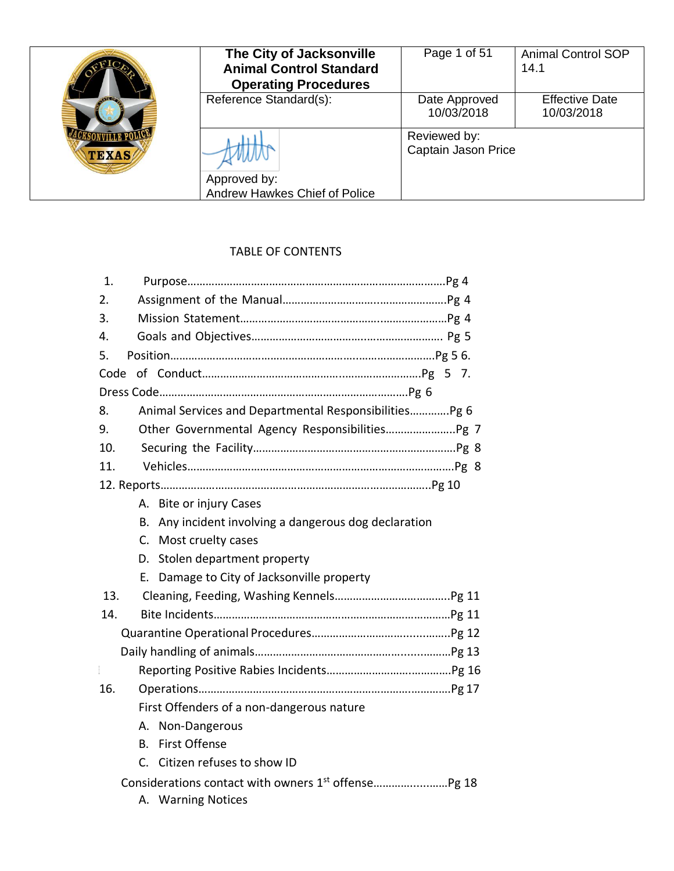|              | The City of Jacksonville                      | Page 1 of 51                | <b>Animal Control SOP</b>           |
|--------------|-----------------------------------------------|-----------------------------|-------------------------------------|
|              | <b>Animal Control Standard</b>                |                             | 14.1                                |
|              | <b>Operating Procedures</b>                   |                             |                                     |
|              | Reference Standard(s):                        | Date Approved<br>10/03/2018 | <b>Effective Date</b><br>10/03/2018 |
|              |                                               | Reviewed by:                |                                     |
| <b>TEXAS</b> |                                               | Captain Jason Price         |                                     |
|              | Approved by:<br>Andrew Hawkes Chief of Police |                             |                                     |

# TABLE OF CONTENTS

| 1.                                                           |
|--------------------------------------------------------------|
| 2.                                                           |
| 3.                                                           |
| 4.                                                           |
| 5.                                                           |
| Code                                                         |
|                                                              |
| Animal Services and Departmental Responsibilities Pg 6<br>8. |
| 9.                                                           |
| 10.                                                          |
| 11.                                                          |
|                                                              |
| A. Bite or injury Cases                                      |
| Any incident involving a dangerous dog declaration<br>В.     |
| C. Most cruelty cases                                        |
| D. Stolen department property                                |
| E. Damage to City of Jacksonville property                   |
| 13.                                                          |
| 14.                                                          |
|                                                              |
|                                                              |
| $\begin{array}{c} \end{array}$                               |
| 16.                                                          |
| First Offenders of a non-dangerous nature                    |
| A. Non-Dangerous                                             |
| <b>First Offense</b><br>В.                                   |
| C. Citizen refuses to show ID                                |
|                                                              |

A. Warning Notices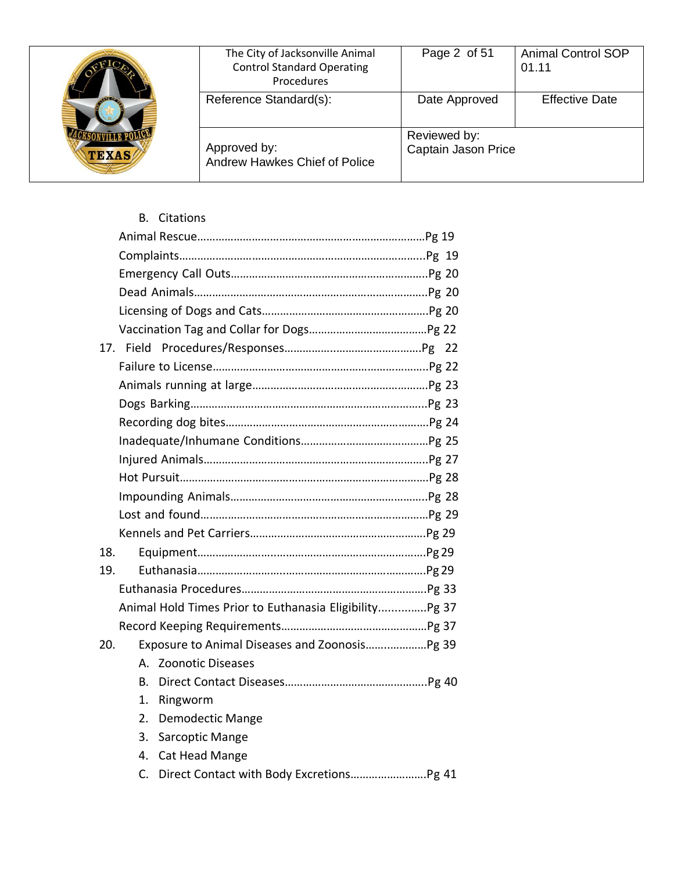| <b>TEXAS</b> | The City of Jacksonville Animal<br><b>Control Standard Operating</b><br>Procedures | Page 2 of 51                        | <b>Animal Control SOP</b><br>01.11 |
|--------------|------------------------------------------------------------------------------------|-------------------------------------|------------------------------------|
|              | Reference Standard(s):                                                             | Date Approved                       | <b>Effective Date</b>              |
|              | Approved by:<br>Andrew Hawkes Chief of Police                                      | Reviewed by:<br>Captain Jason Price |                                    |

B. Citations

| 18. |                                                         |  |
|-----|---------------------------------------------------------|--|
| 19. |                                                         |  |
|     |                                                         |  |
|     | Animal Hold Times Prior to Euthanasia Eligibility Pg 37 |  |
|     |                                                         |  |
| 20. | Exposure to Animal Diseases and Zoonosis Pg 39          |  |
|     | A. Zoonotic Diseases                                    |  |
|     | B.                                                      |  |
|     | 1.<br>Ringworm                                          |  |
|     | <b>Demodectic Mange</b><br>2.                           |  |
|     | 3.<br>Sarcoptic Mange                                   |  |
|     | Cat Head Mange<br>4.                                    |  |
|     | C.                                                      |  |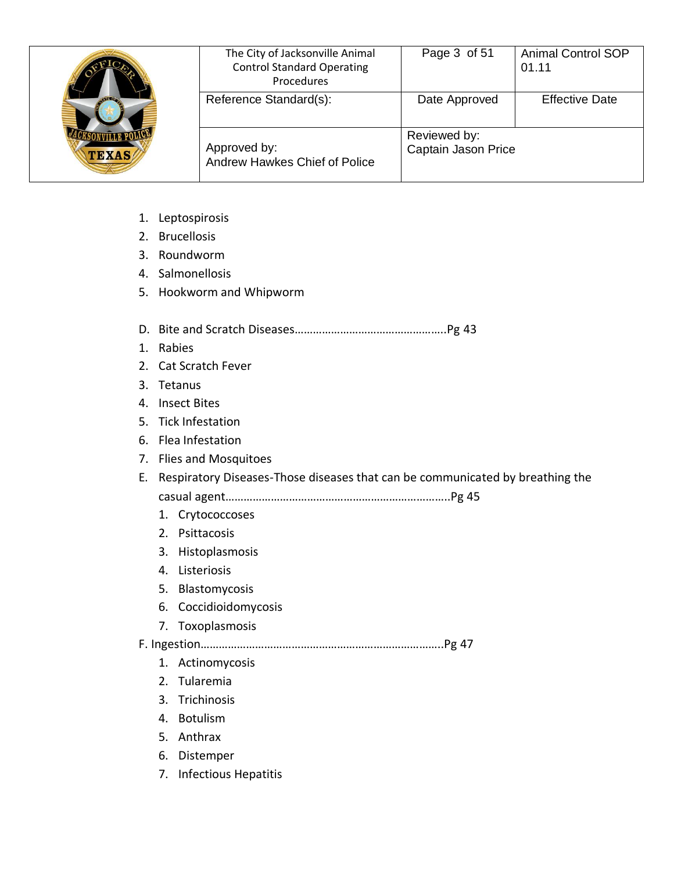| <b>AVE OF</b><br><b>TEXAS</b> | The City of Jacksonville Animal<br><b>Control Standard Operating</b><br>Procedures | Page 3 of 51                        | <b>Animal Control SOP</b><br>01.11 |
|-------------------------------|------------------------------------------------------------------------------------|-------------------------------------|------------------------------------|
|                               | Reference Standard(s):                                                             | Date Approved                       | <b>Effective Date</b>              |
|                               | Approved by:<br>Andrew Hawkes Chief of Police                                      | Reviewed by:<br>Captain Jason Price |                                    |

- 1. Leptospirosis
- 2. Brucellosis
- 3. Roundworm
- 4. Salmonellosis
- 5. Hookworm and Whipworm
- D. Bite and Scratch Diseases…………………………………………..Pg 43
- 1. Rabies
- 2. Cat Scratch Fever
- 3. Tetanus
- 4. Insect Bites
- 5. Tick Infestation
- 6. Flea Infestation
- 7. Flies and Mosquitoes
- E. Respiratory Diseases-Those diseases that can be communicated by breathing the casual agent………………………………………………………………..Pg 45
	- 1. Crytococcoses
	- 2. Psittacosis
	- 3. Histoplasmosis
	- 4. Listeriosis
	- 5. Blastomycosis
	- 6. Coccidioidomycosis
	- 7. Toxoplasmosis
- F. Ingestion……………………………………………………………………..Pg 47
	- 1. Actinomycosis
	- 2. Tularemia
	- 3. Trichinosis
	- 4. Botulism
	- 5. Anthrax
	- 6. Distemper
	- 7. Infectious Hepatitis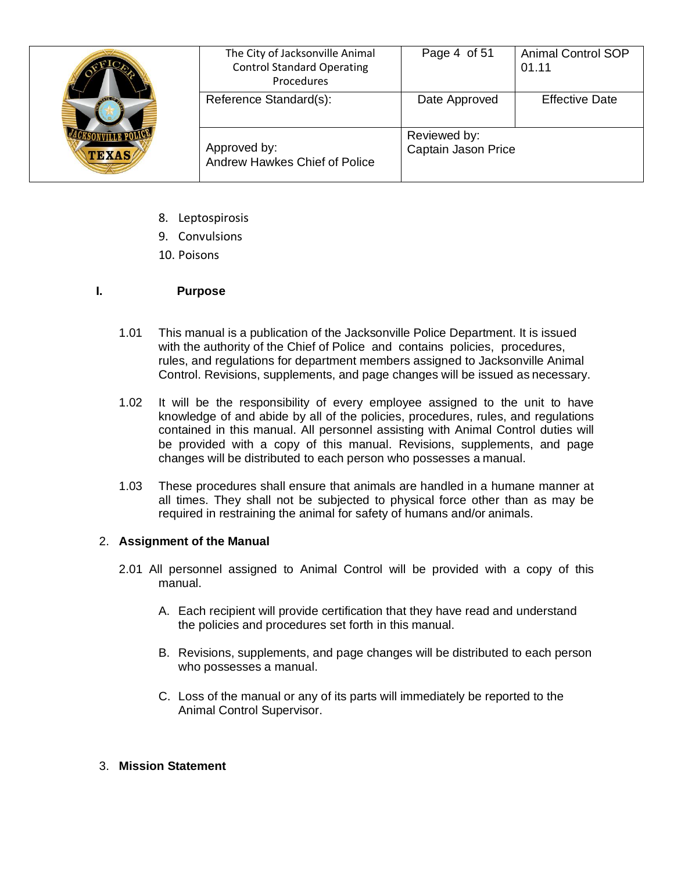| <b>TEXAS</b> | The City of Jacksonville Animal<br><b>Control Standard Operating</b><br>Procedures | Page 4 of 51                        | <b>Animal Control SOP</b><br>01.11 |
|--------------|------------------------------------------------------------------------------------|-------------------------------------|------------------------------------|
|              | Reference Standard(s):                                                             | Date Approved                       | <b>Effective Date</b>              |
|              | Approved by:<br>Andrew Hawkes Chief of Police                                      | Reviewed by:<br>Captain Jason Price |                                    |

- 8. Leptospirosis
- 9. Convulsions
- 10. Poisons

## **I. Purpose**

- 1.01 This manual is a publication of the Jacksonville Police Department. It is issued with the authority of the Chief of Police and contains policies, procedures, rules, and regulations for department members assigned to Jacksonville Animal Control. Revisions, supplements, and page changes will be issued as necessary.
- 1.02 It will be the responsibility of every employee assigned to the unit to have knowledge of and abide by all of the policies, procedures, rules, and regulations contained in this manual. All personnel assisting with Animal Control duties will be provided with a copy of this manual. Revisions, supplements, and page changes will be distributed to each person who possesses a manual.
- 1.03 These procedures shall ensure that animals are handled in a humane manner at all times. They shall not be subjected to physical force other than as may be required in restraining the animal for safety of humans and/or animals.

### 2. **Assignment of the Manual**

- 2.01 All personnel assigned to Animal Control will be provided with a copy of this manual.
	- A. Each recipient will provide certification that they have read and understand the policies and procedures set forth in this manual.
	- B. Revisions, supplements, and page changes will be distributed to each person who possesses a manual.
	- C. Loss of the manual or any of its parts will immediately be reported to the Animal Control Supervisor.

### 3. **Mission Statement**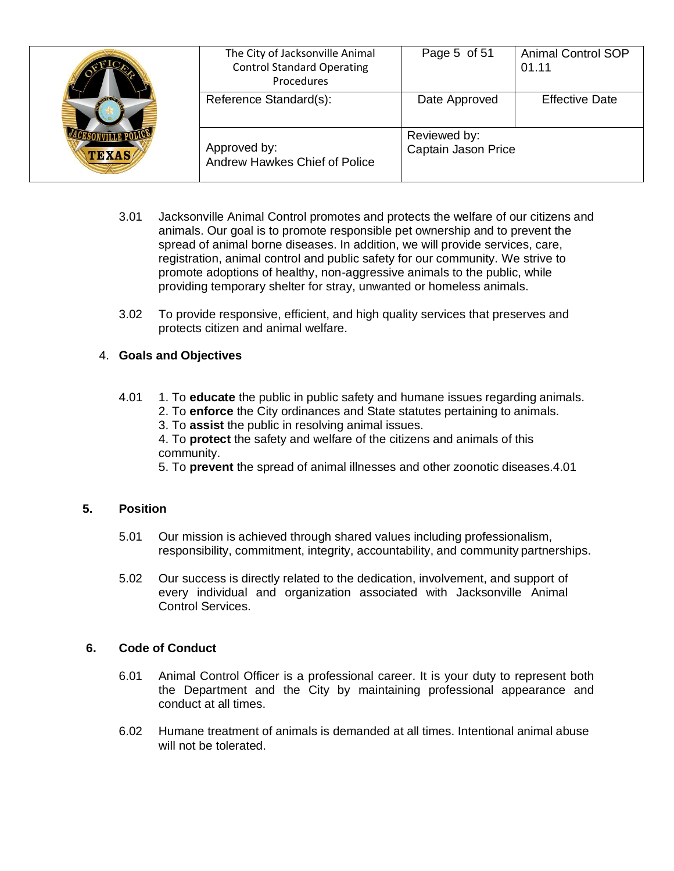| <b>AVEDA</b><br><b>TEXAS</b> | The City of Jacksonville Animal<br><b>Control Standard Operating</b><br>Procedures | Page 5 of 51                        | <b>Animal Control SOP</b><br>01.11 |
|------------------------------|------------------------------------------------------------------------------------|-------------------------------------|------------------------------------|
|                              | Reference Standard(s):                                                             | Date Approved                       | <b>Effective Date</b>              |
|                              | Approved by:<br>Andrew Hawkes Chief of Police                                      | Reviewed by:<br>Captain Jason Price |                                    |

- 3.01 Jacksonville Animal Control promotes and protects the welfare of our citizens and animals. Our goal is to promote responsible pet ownership and to prevent the spread of animal borne diseases. In addition, we will provide services, care, registration, animal control and public safety for our community. We strive to promote adoptions of healthy, non-aggressive animals to the public, while providing temporary shelter for stray, unwanted or homeless animals.
- 3.02 To provide responsive, efficient, and high quality services that preserves and protects citizen and animal welfare.

### 4. **Goals and Objectives**

- 4.01 1. To **educate** the public in public safety and humane issues regarding animals. 2. To **enforce** the City ordinances and State statutes pertaining to animals.
	- 3. To **assist** the public in resolving animal issues.

4. To **protect** the safety and welfare of the citizens and animals of this community.

5. To **prevent** the spread of animal illnesses and other zoonotic diseases.4.01

## **5. Position**

- 5.01 Our mission is achieved through shared values including professionalism, responsibility, commitment, integrity, accountability, and community partnerships.
- 5.02 Our success is directly related to the dedication, involvement, and support of every individual and organization associated with Jacksonville Animal Control Services.

### **6. Code of Conduct**

- 6.01 Animal Control Officer is a professional career. It is your duty to represent both the Department and the City by maintaining professional appearance and conduct at all times.
- 6.02 Humane treatment of animals is demanded at all times. Intentional animal abuse will not be tolerated.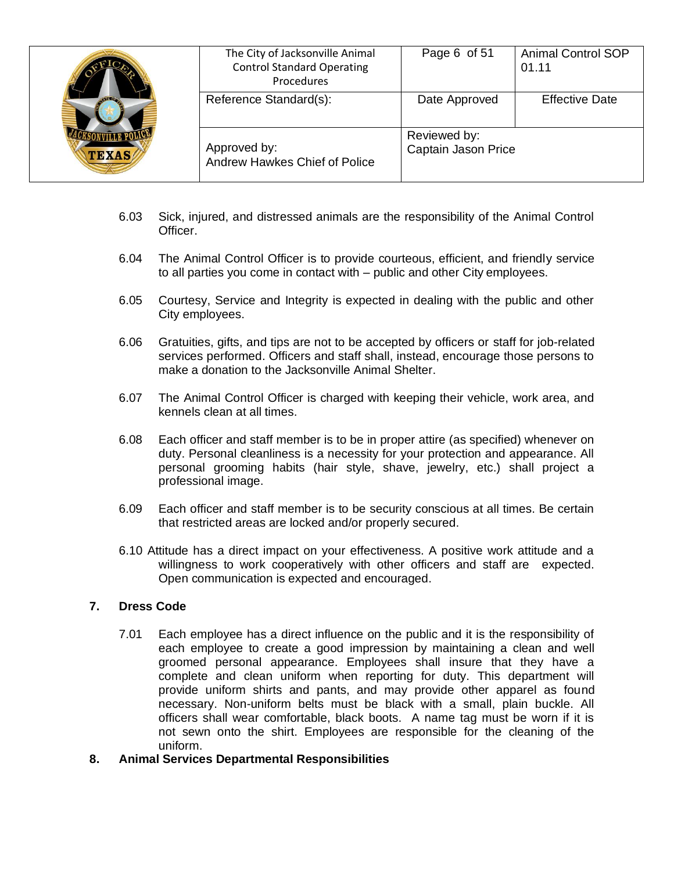| <b>TEXAS</b> | The City of Jacksonville Animal<br><b>Control Standard Operating</b><br>Procedures | Page 6 of 51                        | <b>Animal Control SOP</b><br>01.11 |
|--------------|------------------------------------------------------------------------------------|-------------------------------------|------------------------------------|
|              | Reference Standard(s):                                                             | Date Approved                       | <b>Effective Date</b>              |
|              | Approved by:<br>Andrew Hawkes Chief of Police                                      | Reviewed by:<br>Captain Jason Price |                                    |

- 6.03 Sick, injured, and distressed animals are the responsibility of the Animal Control Officer.
- 6.04 The Animal Control Officer is to provide courteous, efficient, and friendly service to all parties you come in contact with – public and other City employees.
- 6.05 Courtesy, Service and Integrity is expected in dealing with the public and other City employees.
- 6.06 Gratuities, gifts, and tips are not to be accepted by officers or staff for job-related services performed. Officers and staff shall, instead, encourage those persons to make a donation to the Jacksonville Animal Shelter.
- 6.07 The Animal Control Officer is charged with keeping their vehicle, work area, and kennels clean at all times.
- 6.08 Each officer and staff member is to be in proper attire (as specified) whenever on duty. Personal cleanliness is a necessity for your protection and appearance. All personal grooming habits (hair style, shave, jewelry, etc.) shall project a professional image.
- 6.09 Each officer and staff member is to be security conscious at all times. Be certain that restricted areas are locked and/or properly secured.
- 6.10 Attitude has a direct impact on your effectiveness. A positive work attitude and a willingness to work cooperatively with other officers and staff are expected. Open communication is expected and encouraged.

#### **7. Dress Code**

- 7.01 Each employee has a direct influence on the public and it is the responsibility of each employee to create a good impression by maintaining a clean and well groomed personal appearance. Employees shall insure that they have a complete and clean uniform when reporting for duty. This department will provide uniform shirts and pants, and may provide other apparel as found necessary. Non-uniform belts must be black with a small, plain buckle. All officers shall wear comfortable, black boots. A name tag must be worn if it is not sewn onto the shirt. Employees are responsible for the cleaning of the uniform.
- **8. Animal Services Departmental Responsibilities**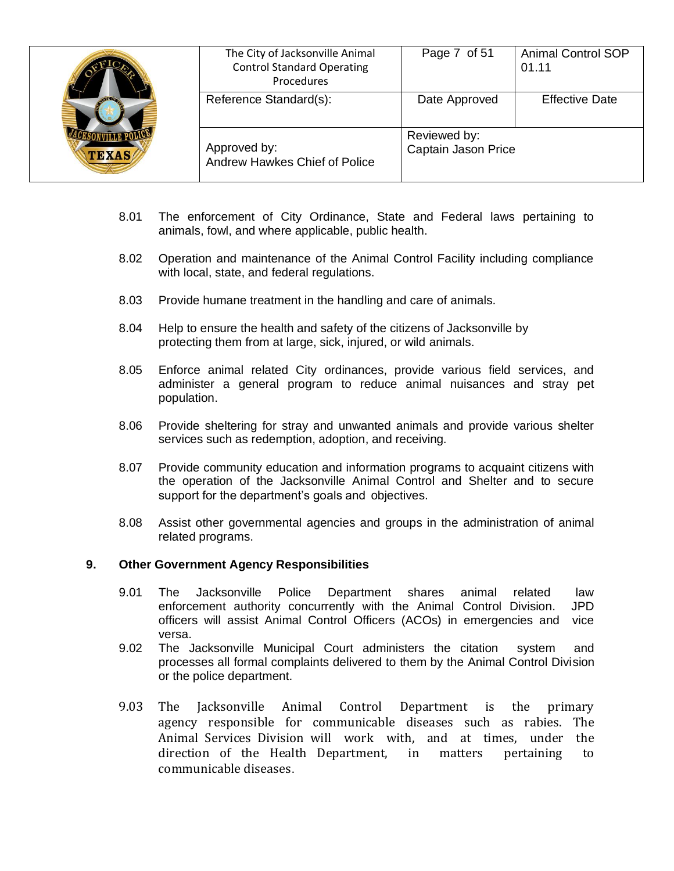| <b>TEXAS</b> | The City of Jacksonville Animal<br><b>Control Standard Operating</b><br>Procedures | Page 7 of 51                        | <b>Animal Control SOP</b><br>01.11 |
|--------------|------------------------------------------------------------------------------------|-------------------------------------|------------------------------------|
|              | Reference Standard(s):                                                             | Date Approved                       | <b>Effective Date</b>              |
|              | Approved by:<br>Andrew Hawkes Chief of Police                                      | Reviewed by:<br>Captain Jason Price |                                    |

- 8.01 The enforcement of City Ordinance, State and Federal laws pertaining to animals, fowl, and where applicable, public health.
- 8.02 Operation and maintenance of the Animal Control Facility including compliance with local, state, and federal regulations.
- 8.03 Provide humane treatment in the handling and care of animals.
- 8.04 Help to ensure the health and safety of the citizens of Jacksonville by protecting them from at large, sick, injured, or wild animals.
- 8.05 Enforce animal related City ordinances, provide various field services, and administer a general program to reduce animal nuisances and stray pet population.
- 8.06 Provide sheltering for stray and unwanted animals and provide various shelter services such as redemption, adoption, and receiving.
- 8.07 Provide community education and information programs to acquaint citizens with the operation of the Jacksonville Animal Control and Shelter and to secure support for the department's goals and objectives.
- 8.08 Assist other governmental agencies and groups in the administration of animal related programs.

#### **9. Other Government Agency Responsibilities**

- 9.01 The Jacksonville Police Department shares animal related law enforcement authority concurrently with the Animal Control Division. JPD officers will assist Animal Control Officers (ACOs) in emergencies and vice versa.
- 9.02 The Jacksonville Municipal Court administers the citation system and processes all formal complaints delivered to them by the Animal Control Division or the police department.
- 9.03 The Jacksonville Animal Control Department is the primary agency responsible for communicable diseases such as rabies. The Animal Services Division will work with, and at times, under the direction of the Health Department, in matters pertaining to communicable diseases.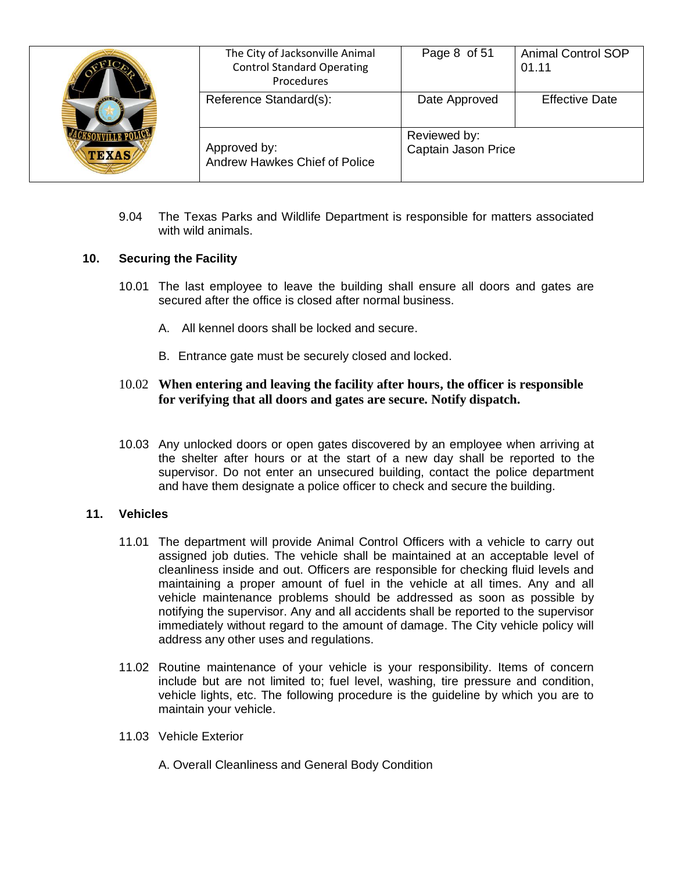| <b>ATTO</b><br><b>TEXAS</b> | The City of Jacksonville Animal<br><b>Control Standard Operating</b><br>Procedures | Page 8 of 51                        | <b>Animal Control SOP</b><br>01.11 |
|-----------------------------|------------------------------------------------------------------------------------|-------------------------------------|------------------------------------|
|                             | Reference Standard(s):                                                             | Date Approved                       | <b>Effective Date</b>              |
|                             | Approved by:<br>Andrew Hawkes Chief of Police                                      | Reviewed by:<br>Captain Jason Price |                                    |

9.04 The Texas Parks and Wildlife Department is responsible for matters associated with wild animals.

#### **10. Securing the Facility**

- 10.01 The last employee to leave the building shall ensure all doors and gates are secured after the office is closed after normal business.
	- A. All kennel doors shall be locked and secure.
	- B. Entrance gate must be securely closed and locked.

## 10.02 **When entering and leaving the facility after hours, the officer is responsible for verifying that all doors and gates are secure. Notify dispatch.**

10.03 Any unlocked doors or open gates discovered by an employee when arriving at the shelter after hours or at the start of a new day shall be reported to the supervisor. Do not enter an unsecured building, contact the police department and have them designate a police officer to check and secure the building.

### **11. Vehicles**

- 11.01 The department will provide Animal Control Officers with a vehicle to carry out assigned job duties. The vehicle shall be maintained at an acceptable level of cleanliness inside and out. Officers are responsible for checking fluid levels and maintaining a proper amount of fuel in the vehicle at all times. Any and all vehicle maintenance problems should be addressed as soon as possible by notifying the supervisor. Any and all accidents shall be reported to the supervisor immediately without regard to the amount of damage. The City vehicle policy will address any other uses and regulations.
- 11.02 Routine maintenance of your vehicle is your responsibility. Items of concern include but are not limited to; fuel level, washing, tire pressure and condition, vehicle lights, etc. The following procedure is the guideline by which you are to maintain your vehicle.
- 11.03 Vehicle Exterior
	- A. Overall Cleanliness and General Body Condition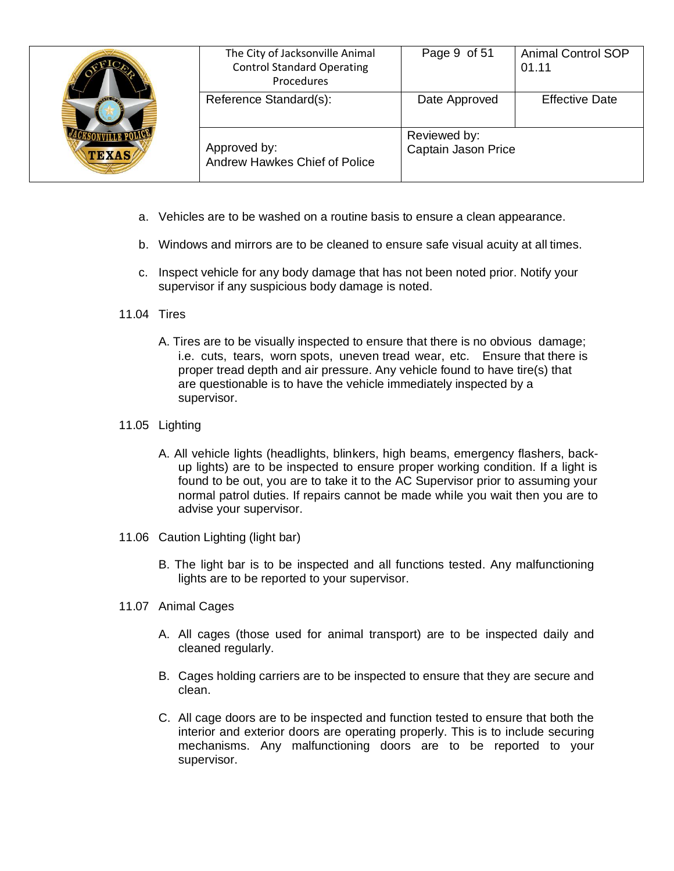| <b>ATTO</b><br><b>TEXAS</b> | The City of Jacksonville Animal<br><b>Control Standard Operating</b><br>Procedures | Page 9 of 51                        | <b>Animal Control SOP</b><br>01.11 |
|-----------------------------|------------------------------------------------------------------------------------|-------------------------------------|------------------------------------|
|                             | Reference Standard(s):                                                             | Date Approved                       | <b>Effective Date</b>              |
|                             | Approved by:<br>Andrew Hawkes Chief of Police                                      | Reviewed by:<br>Captain Jason Price |                                    |

- a. Vehicles are to be washed on a routine basis to ensure a clean appearance.
- b. Windows and mirrors are to be cleaned to ensure safe visual acuity at all times.
- c. Inspect vehicle for any body damage that has not been noted prior. Notify your supervisor if any suspicious body damage is noted.

#### 11.04 Tires

A. Tires are to be visually inspected to ensure that there is no obvious damage; i.e. cuts, tears, worn spots, uneven tread wear, etc. Ensure that there is proper tread depth and air pressure. Any vehicle found to have tire(s) that are questionable is to have the vehicle immediately inspected by a supervisor.

#### 11.05 Lighting

- A. All vehicle lights (headlights, blinkers, high beams, emergency flashers, backup lights) are to be inspected to ensure proper working condition. If a light is found to be out, you are to take it to the AC Supervisor prior to assuming your normal patrol duties. If repairs cannot be made while you wait then you are to advise your supervisor.
- 11.06 Caution Lighting (light bar)
	- B. The light bar is to be inspected and all functions tested. Any malfunctioning lights are to be reported to your supervisor.
- 11.07 Animal Cages
	- A. All cages (those used for animal transport) are to be inspected daily and cleaned regularly.
	- B. Cages holding carriers are to be inspected to ensure that they are secure and clean.
	- C. All cage doors are to be inspected and function tested to ensure that both the interior and exterior doors are operating properly. This is to include securing mechanisms. Any malfunctioning doors are to be reported to your supervisor.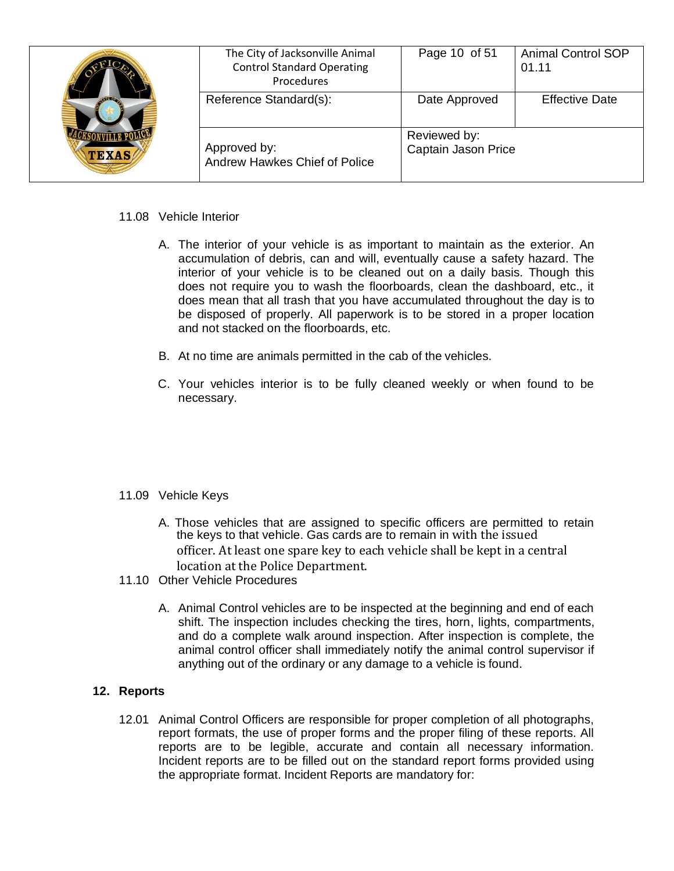| $\sqrt{100}$<br><b>TEXAS</b> | The City of Jacksonville Animal<br><b>Control Standard Operating</b><br>Procedures | Page 10 of 51                       | <b>Animal Control SOP</b><br>01.11 |
|------------------------------|------------------------------------------------------------------------------------|-------------------------------------|------------------------------------|
|                              | Reference Standard(s):                                                             | Date Approved                       | <b>Effective Date</b>              |
|                              | Approved by:<br>Andrew Hawkes Chief of Police                                      | Reviewed by:<br>Captain Jason Price |                                    |

### 11.08 Vehicle Interior

- A. The interior of your vehicle is as important to maintain as the exterior. An accumulation of debris, can and will, eventually cause a safety hazard. The interior of your vehicle is to be cleaned out on a daily basis. Though this does not require you to wash the floorboards, clean the dashboard, etc., it does mean that all trash that you have accumulated throughout the day is to be disposed of properly. All paperwork is to be stored in a proper location and not stacked on the floorboards, etc.
- B. At no time are animals permitted in the cab of the vehicles.
- C. Your vehicles interior is to be fully cleaned weekly or when found to be necessary.

### 11.09 Vehicle Keys

- A. Those vehicles that are assigned to specific officers are permitted to retain the keys to that vehicle. Gas cards are to remain in with the issued officer. At least one spare key to each vehicle shall be kept in a central location at the Police Department.
- 11.10 Other Vehicle Procedures
	- A. Animal Control vehicles are to be inspected at the beginning and end of each shift. The inspection includes checking the tires, horn, lights, compartments, and do a complete walk around inspection. After inspection is complete, the animal control officer shall immediately notify the animal control supervisor if anything out of the ordinary or any damage to a vehicle is found.

### **12. Reports**

12.01 Animal Control Officers are responsible for proper completion of all photographs, report formats, the use of proper forms and the proper filing of these reports. All reports are to be legible, accurate and contain all necessary information. Incident reports are to be filled out on the standard report forms provided using the appropriate format. Incident Reports are mandatory for: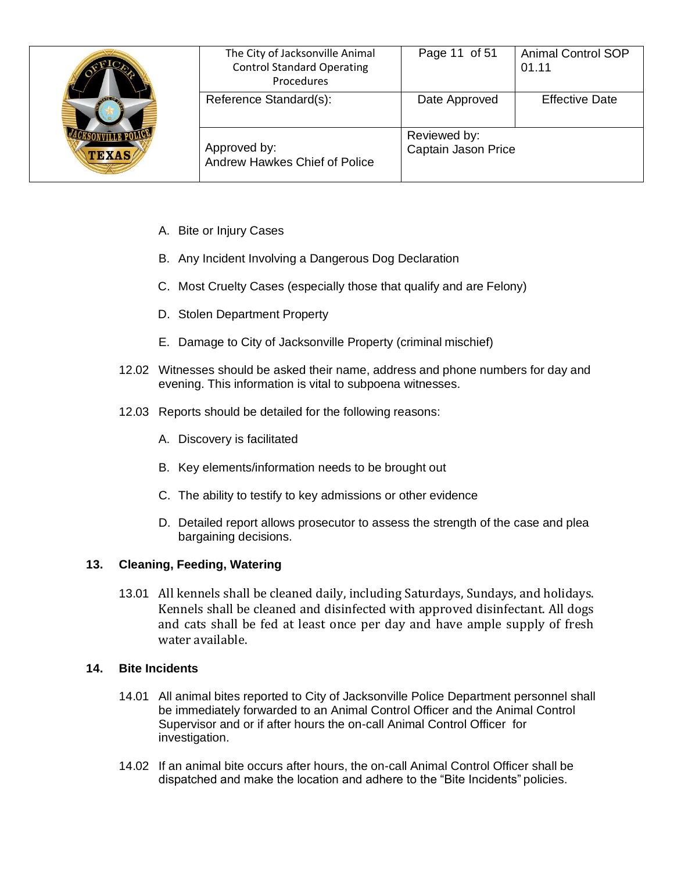| <b>ANTE OF</b><br><b>TEXAS</b> | The City of Jacksonville Animal<br><b>Control Standard Operating</b><br>Procedures | Page 11 of 51                       | <b>Animal Control SOP</b><br>01.11 |
|--------------------------------|------------------------------------------------------------------------------------|-------------------------------------|------------------------------------|
|                                | Reference Standard(s):                                                             | Date Approved                       | <b>Effective Date</b>              |
|                                | Approved by:<br>Andrew Hawkes Chief of Police                                      | Reviewed by:<br>Captain Jason Price |                                    |

- A. Bite or Injury Cases
- B. Any Incident Involving a Dangerous Dog Declaration
- C. Most Cruelty Cases (especially those that qualify and are Felony)
- D. Stolen Department Property
- E. Damage to City of Jacksonville Property (criminal mischief)
- 12.02 Witnesses should be asked their name, address and phone numbers for day and evening. This information is vital to subpoena witnesses.
- 12.03 Reports should be detailed for the following reasons:
	- A. Discovery is facilitated
	- B. Key elements/information needs to be brought out
	- C. The ability to testify to key admissions or other evidence
	- D. Detailed report allows prosecutor to assess the strength of the case and plea bargaining decisions.

## **13. Cleaning, Feeding, Watering**

13.01 All kennels shall be cleaned daily, including Saturdays, Sundays, and holidays. Kennels shall be cleaned and disinfected with approved disinfectant. All dogs and cats shall be fed at least once per day and have ample supply of fresh water available.

## **14. Bite Incidents**

- 14.01 All animal bites reported to City of Jacksonville Police Department personnel shall be immediately forwarded to an Animal Control Officer and the Animal Control Supervisor and or if after hours the on-call Animal Control Officer for investigation.
- 14.02 If an animal bite occurs after hours, the on-call Animal Control Officer shall be dispatched and make the location and adhere to the "Bite Incidents" policies.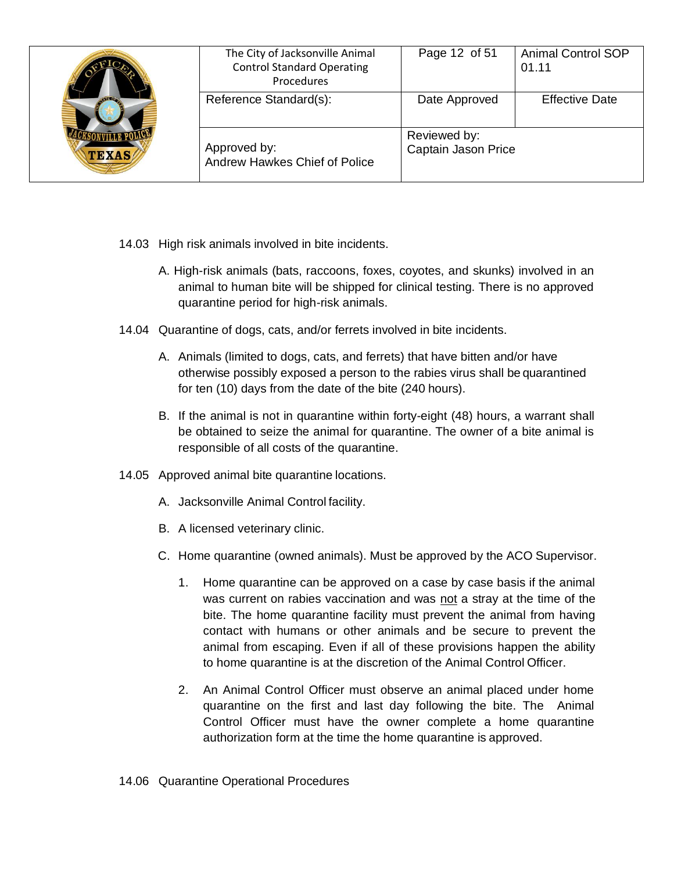| $\sqrt{100}$<br><b>TEXAS</b> | The City of Jacksonville Animal<br><b>Control Standard Operating</b><br>Procedures | Page 12 of 51                       | <b>Animal Control SOP</b><br>01.11 |
|------------------------------|------------------------------------------------------------------------------------|-------------------------------------|------------------------------------|
|                              | Reference Standard(s):                                                             | Date Approved                       | <b>Effective Date</b>              |
|                              | Approved by:<br>Andrew Hawkes Chief of Police                                      | Reviewed by:<br>Captain Jason Price |                                    |

- 14.03 High risk animals involved in bite incidents.
	- A. High-risk animals (bats, raccoons, foxes, coyotes, and skunks) involved in an animal to human bite will be shipped for clinical testing. There is no approved quarantine period for high-risk animals.
- 14.04 Quarantine of dogs, cats, and/or ferrets involved in bite incidents.
	- A. Animals (limited to dogs, cats, and ferrets) that have bitten and/or have otherwise possibly exposed a person to the rabies virus shall be quarantined for ten (10) days from the date of the bite (240 hours).
	- B. If the animal is not in quarantine within forty-eight (48) hours, a warrant shall be obtained to seize the animal for quarantine. The owner of a bite animal is responsible of all costs of the quarantine.
- 14.05 Approved animal bite quarantine locations.
	- A. Jacksonville Animal Control facility.
	- B. A licensed veterinary clinic.
	- C. Home quarantine (owned animals). Must be approved by the ACO Supervisor.
		- 1. Home quarantine can be approved on a case by case basis if the animal was current on rabies vaccination and was not a stray at the time of the bite. The home quarantine facility must prevent the animal from having contact with humans or other animals and be secure to prevent the animal from escaping. Even if all of these provisions happen the ability to home quarantine is at the discretion of the Animal Control Officer.
		- 2. An Animal Control Officer must observe an animal placed under home quarantine on the first and last day following the bite. The Animal Control Officer must have the owner complete a home quarantine authorization form at the time the home quarantine is approved.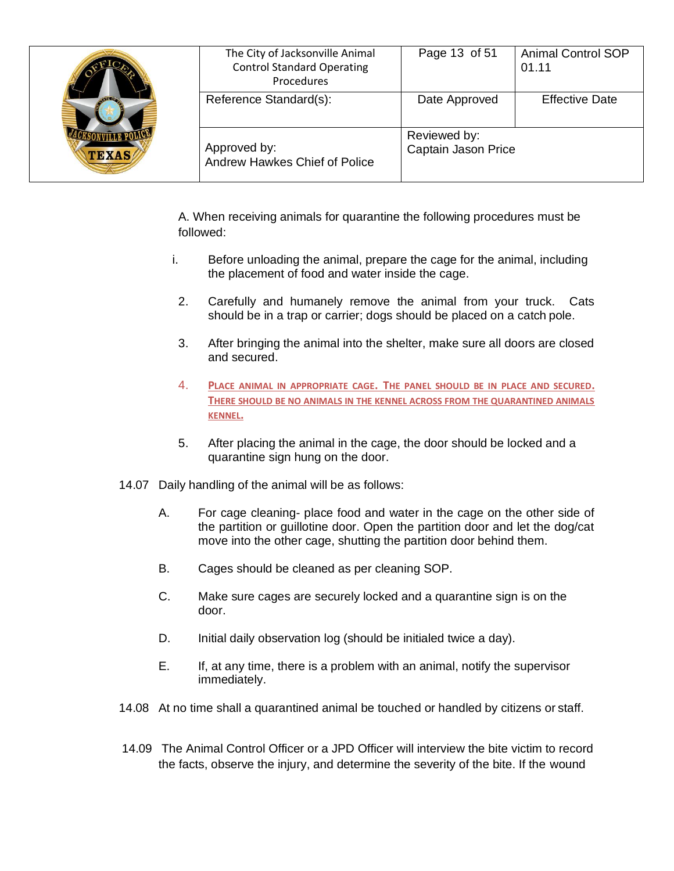| <b>TEXAS</b> | The City of Jacksonville Animal<br><b>Control Standard Operating</b><br>Procedures | Page 13 of 51                       | <b>Animal Control SOP</b><br>01.11 |
|--------------|------------------------------------------------------------------------------------|-------------------------------------|------------------------------------|
|              | Reference Standard(s):                                                             | Date Approved                       | <b>Effective Date</b>              |
|              | Approved by:<br>Andrew Hawkes Chief of Police                                      | Reviewed by:<br>Captain Jason Price |                                    |

A. When receiving animals for quarantine the following procedures must be followed:

- i. Before unloading the animal, prepare the cage for the animal, including the placement of food and water inside the cage.
	- 2. Carefully and humanely remove the animal from your truck. Cats should be in a trap or carrier; dogs should be placed on a catch pole.
	- 3. After bringing the animal into the shelter, make sure all doors are closed and secured.
	- 4. **PLACE ANIMAL IN APPROPRIATE CAGE. THE PANEL SHOULD BE IN PLACE AND SECURED. THERE SHOULD BE NO ANIMALS IN THE KENNEL ACROSS FROM THE QUARANTINED ANIMALS KENNEL.**
	- 5. After placing the animal in the cage, the door should be locked and a quarantine sign hung on the door.
- 14.07 Daily handling of the animal will be as follows:
	- A. For cage cleaning- place food and water in the cage on the other side of the partition or guillotine door. Open the partition door and let the dog/cat move into the other cage, shutting the partition door behind them.
	- B. Cages should be cleaned as per cleaning SOP.
	- C. Make sure cages are securely locked and a quarantine sign is on the door.
	- D. Initial daily observation log (should be initialed twice a day).
	- E. If, at any time, there is a problem with an animal, notify the supervisor immediately.
- 14.08 At no time shall a quarantined animal be touched or handled by citizens or staff.
- 14.09 The Animal Control Officer or a JPD Officer will interview the bite victim to record the facts, observe the injury, and determine the severity of the bite. If the wound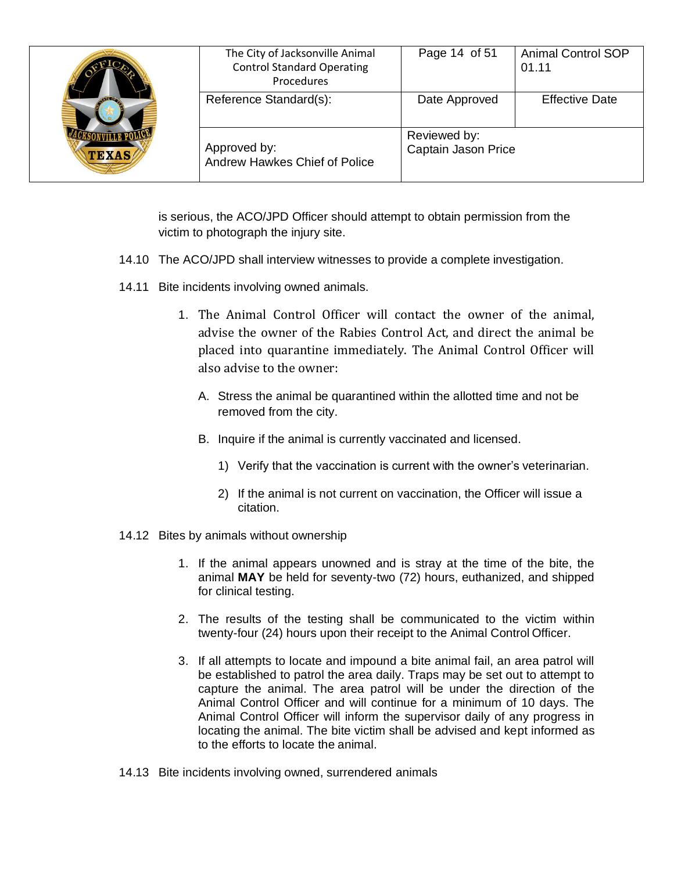| <b>TEXAS</b> | The City of Jacksonville Animal<br><b>Control Standard Operating</b><br>Procedures | Page 14 of 51                       | <b>Animal Control SOP</b><br>01.11 |
|--------------|------------------------------------------------------------------------------------|-------------------------------------|------------------------------------|
|              | Reference Standard(s):                                                             | Date Approved                       | <b>Effective Date</b>              |
|              | Approved by:<br>Andrew Hawkes Chief of Police                                      | Reviewed by:<br>Captain Jason Price |                                    |

is serious, the ACO/JPD Officer should attempt to obtain permission from the victim to photograph the injury site.

- 14.10 The ACO/JPD shall interview witnesses to provide a complete investigation.
- 14.11 Bite incidents involving owned animals.
	- 1. The Animal Control Officer will contact the owner of the animal, advise the owner of the Rabies Control Act, and direct the animal be placed into quarantine immediately. The Animal Control Officer will also advise to the owner:
		- A. Stress the animal be quarantined within the allotted time and not be removed from the city.
		- B. Inquire if the animal is currently vaccinated and licensed.
			- 1) Verify that the vaccination is current with the owner's veterinarian.
			- 2) If the animal is not current on vaccination, the Officer will issue a citation.
- 14.12 Bites by animals without ownership
	- 1. If the animal appears unowned and is stray at the time of the bite, the animal **MAY** be held for seventy-two (72) hours, euthanized, and shipped for clinical testing.
	- 2. The results of the testing shall be communicated to the victim within twenty-four (24) hours upon their receipt to the Animal Control Officer.
	- 3. If all attempts to locate and impound a bite animal fail, an area patrol will be established to patrol the area daily. Traps may be set out to attempt to capture the animal. The area patrol will be under the direction of the Animal Control Officer and will continue for a minimum of 10 days. The Animal Control Officer will inform the supervisor daily of any progress in locating the animal. The bite victim shall be advised and kept informed as to the efforts to locate the animal.
- 14.13 Bite incidents involving owned, surrendered animals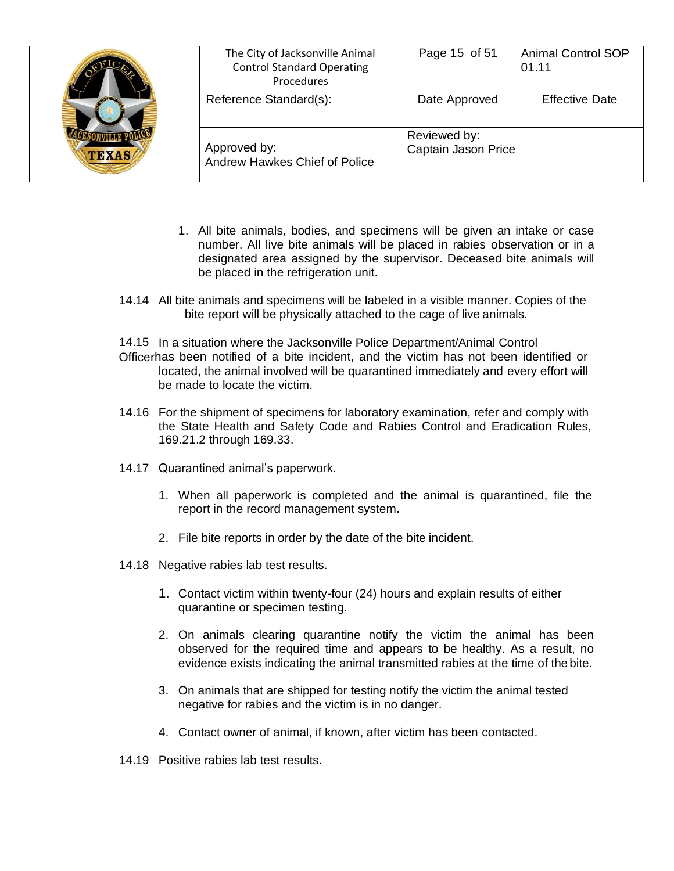| <b>AVE OF</b><br><b>TEXAS</b> | The City of Jacksonville Animal<br><b>Control Standard Operating</b><br>Procedures | Page 15 of 51                       | <b>Animal Control SOP</b><br>01.11 |
|-------------------------------|------------------------------------------------------------------------------------|-------------------------------------|------------------------------------|
|                               | Reference Standard(s):                                                             | Date Approved                       | <b>Effective Date</b>              |
|                               | Approved by:<br>Andrew Hawkes Chief of Police                                      | Reviewed by:<br>Captain Jason Price |                                    |

- 1. All bite animals, bodies, and specimens will be given an intake or case number. All live bite animals will be placed in rabies observation or in a designated area assigned by the supervisor. Deceased bite animals will be placed in the refrigeration unit.
- 14.14 All bite animals and specimens will be labeled in a visible manner. Copies of the bite report will be physically attached to the cage of live animals.

14.15 In a situation where the Jacksonville Police Department/Animal Control Officerhas been notified of a bite incident, and the victim has not been identified or located, the animal involved will be quarantined immediately and every effort will be made to locate the victim.

- 14.16 For the shipment of specimens for laboratory examination, refer and comply with the State Health and Safety Code and Rabies Control and Eradication Rules, 169.21.2 through 169.33.
- 14.17 Quarantined animal's paperwork.
	- 1. When all paperwork is completed and the animal is quarantined, file the report in the record management system**.**
	- 2. File bite reports in order by the date of the bite incident.
- 14.18 Negative rabies lab test results.
	- 1. Contact victim within twenty-four (24) hours and explain results of either quarantine or specimen testing.
	- 2. On animals clearing quarantine notify the victim the animal has been observed for the required time and appears to be healthy. As a result, no evidence exists indicating the animal transmitted rabies at the time of the bite.
	- 3. On animals that are shipped for testing notify the victim the animal tested negative for rabies and the victim is in no danger.
	- 4. Contact owner of animal, if known, after victim has been contacted.
- 14.19 Positive rabies lab test results.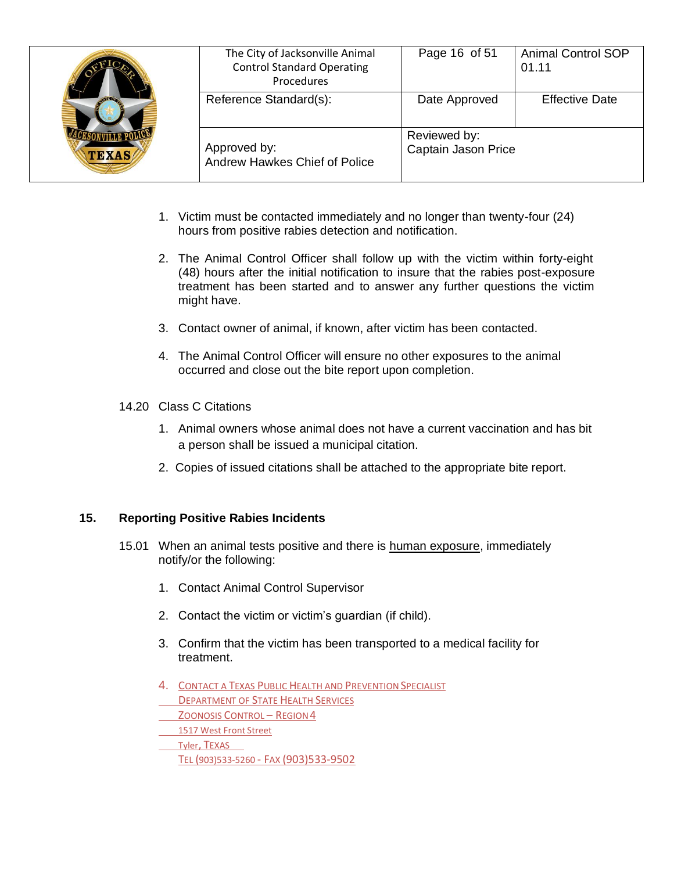| $\sqrt{10}$<br><b>TEXAS</b> | The City of Jacksonville Animal<br><b>Control Standard Operating</b><br>Procedures | Page 16 of 51                       | <b>Animal Control SOP</b><br>01.11 |
|-----------------------------|------------------------------------------------------------------------------------|-------------------------------------|------------------------------------|
|                             | Reference Standard(s):                                                             | Date Approved                       | <b>Effective Date</b>              |
|                             | Approved by:<br>Andrew Hawkes Chief of Police                                      | Reviewed by:<br>Captain Jason Price |                                    |

- 1. Victim must be contacted immediately and no longer than twenty-four (24) hours from positive rabies detection and notification.
- 2. The Animal Control Officer shall follow up with the victim within forty-eight (48) hours after the initial notification to insure that the rabies post-exposure treatment has been started and to answer any further questions the victim might have.
- 3. Contact owner of animal, if known, after victim has been contacted.
- 4. The Animal Control Officer will ensure no other exposures to the animal occurred and close out the bite report upon completion.
- 14.20 Class C Citations
	- 1. Animal owners whose animal does not have a current vaccination and has bit a person shall be issued a municipal citation.
	- 2. Copies of issued citations shall be attached to the appropriate bite report.

## **15. Reporting Positive Rabies Incidents**

- 15.01 When an animal tests positive and there is human exposure, immediately notify/or the following:
	- 1. Contact Animal Control Supervisor
	- 2. Contact the victim or victim's guardian (if child).
	- 3. Confirm that the victim has been transported to a medical facility for treatment.
	- 4. CONTACT A TEXAS PUBLIC HEALTH AND PREVENTION SPECIALIST
	- **DEPARTMENT OF STATE HEALTH SERVICES**
	- ZOONOSIS CONTROL REGION4
	- 1517 West Front Street
	- Tyler, TEXAS TEL (903)533-5260 - FAX (903)533-9502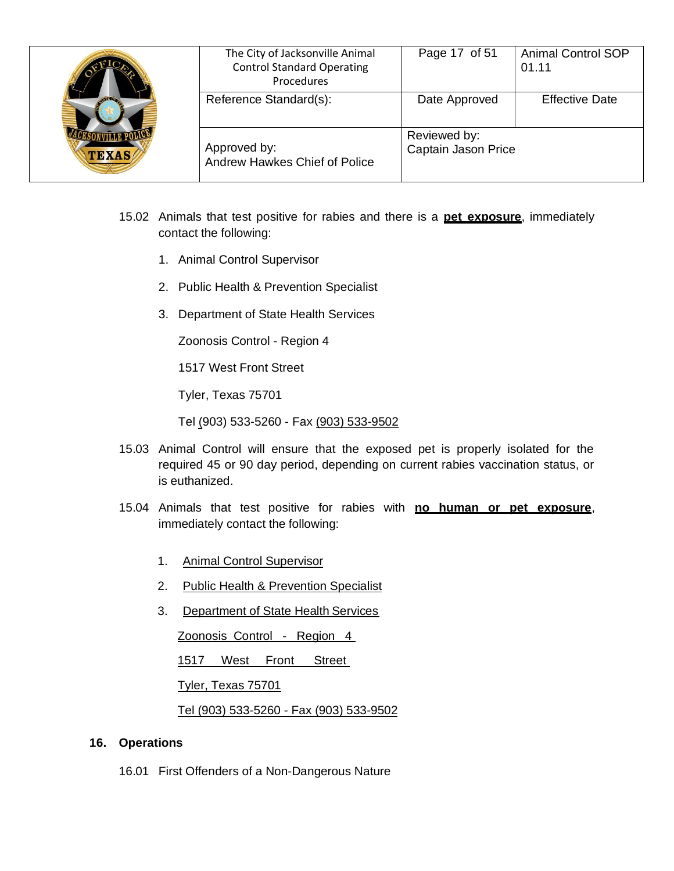| <b>ANTEO</b><br><b>TEXAS</b> | The City of Jacksonville Animal<br><b>Control Standard Operating</b><br>Procedures | Page 17 of 51                       | <b>Animal Control SOP</b><br>01.11 |
|------------------------------|------------------------------------------------------------------------------------|-------------------------------------|------------------------------------|
|                              | Reference Standard(s):                                                             | Date Approved                       | <b>Effective Date</b>              |
|                              | Approved by:<br>Andrew Hawkes Chief of Police                                      | Reviewed by:<br>Captain Jason Price |                                    |

- 15.02 Animals that test positive for rabies and there is a **pet exposure**, immediately contact the following:
	- 1. Animal Control Supervisor
	- 2. Public Health & Prevention Specialist
	- 3. Department of State Health Services

Zoonosis Control - Region 4

1517 West Front Street

Tyler, Texas 75701

Tel (903) 533-5260 - Fax (903) 533-9502

- 15.03 Animal Control will ensure that the exposed pet is properly isolated for the required 45 or 90 day period, depending on current rabies vaccination status, or is euthanized.
- 15.04 Animals that test positive for rabies with **no human or pet exposure**, immediately contact the following:
	- 1. Animal Control Supervisor
	- 2. Public Health & Prevention Specialist
	- 3. Department of State Health Services

Zoonosis Control - Region 4

1517 West Front Street

Tyler, Texas 75701

Tel (903) 533-5260 - Fax (903) 533-9502

### **16. Operations**

16.01 First Offenders of a Non-Dangerous Nature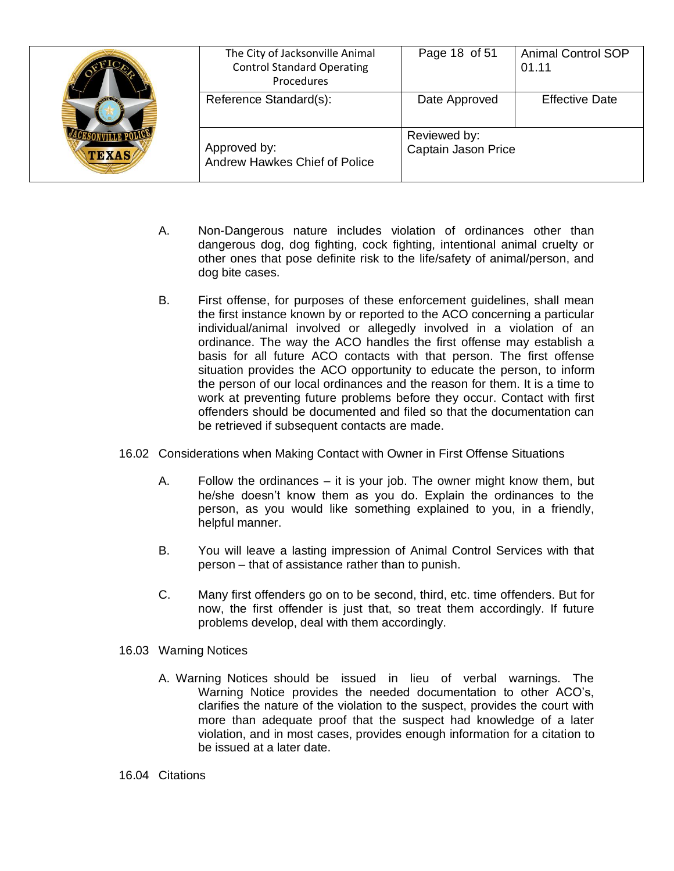| <b>TEXAS</b> | The City of Jacksonville Animal<br><b>Control Standard Operating</b><br>Procedures | Page 18 of 51                       | <b>Animal Control SOP</b><br>01.11 |
|--------------|------------------------------------------------------------------------------------|-------------------------------------|------------------------------------|
|              | Reference Standard(s):                                                             | Date Approved                       | <b>Effective Date</b>              |
|              | Approved by:<br>Andrew Hawkes Chief of Police                                      | Reviewed by:<br>Captain Jason Price |                                    |

- A. Non-Dangerous nature includes violation of ordinances other than dangerous dog, dog fighting, cock fighting, intentional animal cruelty or other ones that pose definite risk to the life/safety of animal/person, and dog bite cases.
- B. First offense, for purposes of these enforcement guidelines, shall mean the first instance known by or reported to the ACO concerning a particular individual/animal involved or allegedly involved in a violation of an ordinance. The way the ACO handles the first offense may establish a basis for all future ACO contacts with that person. The first offense situation provides the ACO opportunity to educate the person, to inform the person of our local ordinances and the reason for them. It is a time to work at preventing future problems before they occur. Contact with first offenders should be documented and filed so that the documentation can be retrieved if subsequent contacts are made.
- 16.02 Considerations when Making Contact with Owner in First Offense Situations
	- A. Follow the ordinances it is your job. The owner might know them, but he/she doesn't know them as you do. Explain the ordinances to the person, as you would like something explained to you, in a friendly, helpful manner.
	- B. You will leave a lasting impression of Animal Control Services with that person – that of assistance rather than to punish.
	- C. Many first offenders go on to be second, third, etc. time offenders. But for now, the first offender is just that, so treat them accordingly. If future problems develop, deal with them accordingly.
- 16.03 Warning Notices
	- A. Warning Notices should be issued in lieu of verbal warnings. The Warning Notice provides the needed documentation to other ACO's, clarifies the nature of the violation to the suspect, provides the court with more than adequate proof that the suspect had knowledge of a later violation, and in most cases, provides enough information for a citation to be issued at a later date.

#### 16.04 Citations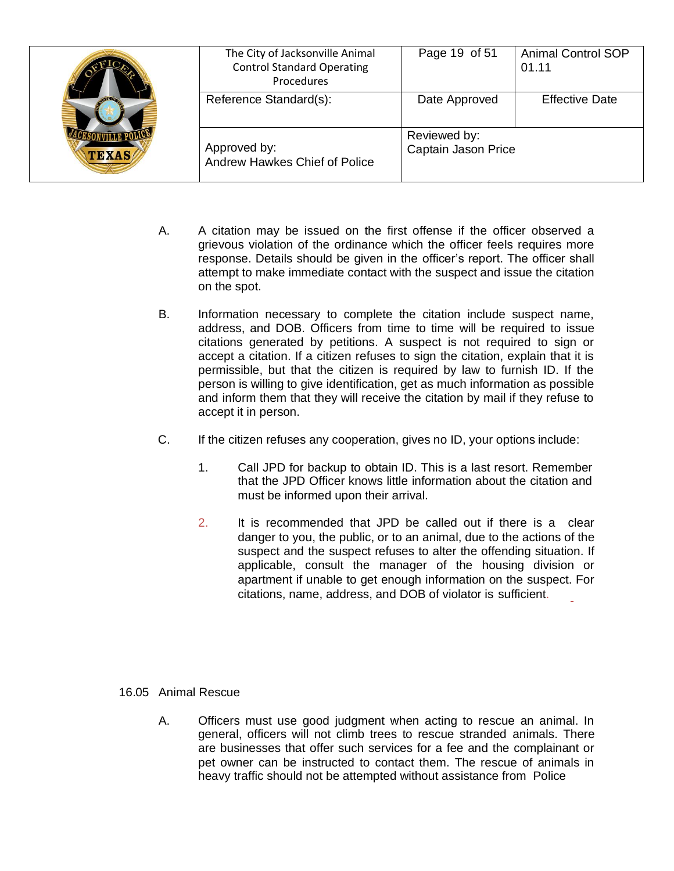| $\sqrt{120}$<br><b>TEXAS</b> | The City of Jacksonville Animal<br><b>Control Standard Operating</b><br>Procedures | Page 19 of 51                       | <b>Animal Control SOP</b><br>01.11 |
|------------------------------|------------------------------------------------------------------------------------|-------------------------------------|------------------------------------|
|                              | Reference Standard(s):                                                             | Date Approved                       | <b>Effective Date</b>              |
|                              | Approved by:<br>Andrew Hawkes Chief of Police                                      | Reviewed by:<br>Captain Jason Price |                                    |

- A. A citation may be issued on the first offense if the officer observed a grievous violation of the ordinance which the officer feels requires more response. Details should be given in the officer's report. The officer shall attempt to make immediate contact with the suspect and issue the citation on the spot.
- B. Information necessary to complete the citation include suspect name, address, and DOB. Officers from time to time will be required to issue citations generated by petitions. A suspect is not required to sign or accept a citation. If a citizen refuses to sign the citation, explain that it is permissible, but that the citizen is required by law to furnish ID. If the person is willing to give identification, get as much information as possible and inform them that they will receive the citation by mail if they refuse to accept it in person.
- C. If the citizen refuses any cooperation, gives no ID, your options include:
	- 1. Call JPD for backup to obtain ID. This is a last resort. Remember that the JPD Officer knows little information about the citation and must be informed upon their arrival.
	- 2. It is recommended that JPD be called out if there is a clear danger to you, the public, or to an animal, due to the actions of the suspect and the suspect refuses to alter the offending situation. If applicable, consult the manager of the housing division or apartment if unable to get enough information on the suspect. For citations, name, address, and DOB of violator is sufficient.

### 16.05 Animal Rescue

A. Officers must use good judgment when acting to rescue an animal. In general, officers will not climb trees to rescue stranded animals. There are businesses that offer such services for a fee and the complainant or pet owner can be instructed to contact them. The rescue of animals in heavy traffic should not be attempted without assistance from Police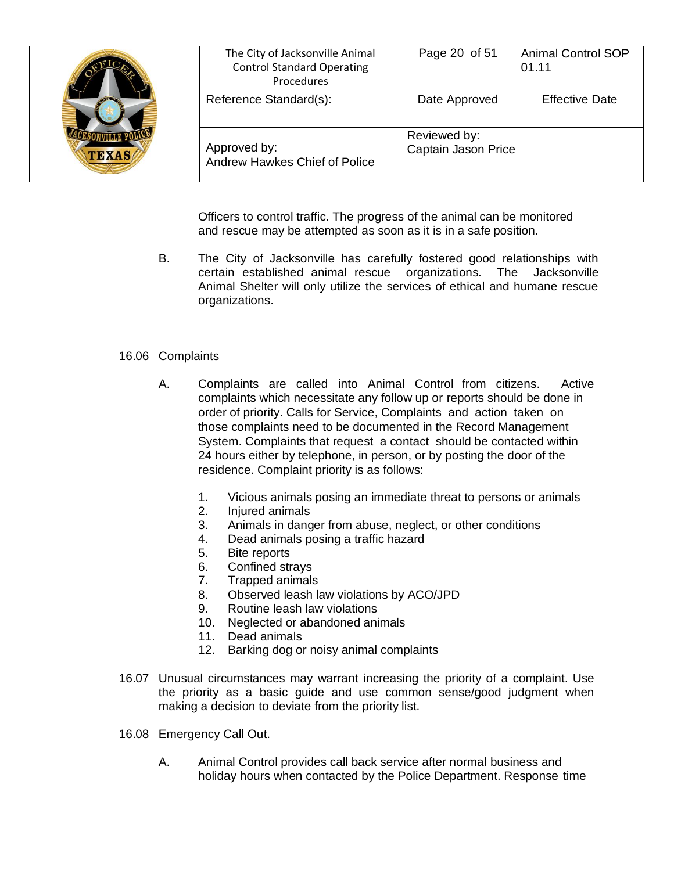| <b>TEXAS</b> | The City of Jacksonville Animal<br><b>Control Standard Operating</b><br>Procedures | Page 20 of 51                       | <b>Animal Control SOP</b><br>01.11 |
|--------------|------------------------------------------------------------------------------------|-------------------------------------|------------------------------------|
|              | Reference Standard(s):                                                             | Date Approved                       | <b>Effective Date</b>              |
|              | Approved by:<br>Andrew Hawkes Chief of Police                                      | Reviewed by:<br>Captain Jason Price |                                    |

Officers to control traffic. The progress of the animal can be monitored and rescue may be attempted as soon as it is in a safe position.

B. The City of Jacksonville has carefully fostered good relationships with certain established animal rescue organizations. The Jacksonville Animal Shelter will only utilize the services of ethical and humane rescue organizations.

### 16.06 Complaints

- A. Complaints are called into Animal Control from citizens. Active complaints which necessitate any follow up or reports should be done in order of priority. Calls for Service, Complaints and action taken on those complaints need to be documented in the Record Management System. Complaints that request a contact should be contacted within 24 hours either by telephone, in person, or by posting the door of the residence. Complaint priority is as follows:
	- 1. Vicious animals posing an immediate threat to persons or animals
	- 2. Injured animals
	- 3. Animals in danger from abuse, neglect, or other conditions
	- 4. Dead animals posing a traffic hazard
	- 5. Bite reports
	- 6. Confined strays
	- 7. Trapped animals
	- 8. Observed leash law violations by ACO/JPD
	- 9. Routine leash law violations
	- 10. Neglected or abandoned animals
	- 11. Dead animals
	- 12. Barking dog or noisy animal complaints
- 16.07 Unusual circumstances may warrant increasing the priority of a complaint. Use the priority as a basic guide and use common sense/good judgment when making a decision to deviate from the priority list.
- 16.08 Emergency Call Out.
	- A. Animal Control provides call back service after normal business and holiday hours when contacted by the Police Department. Response time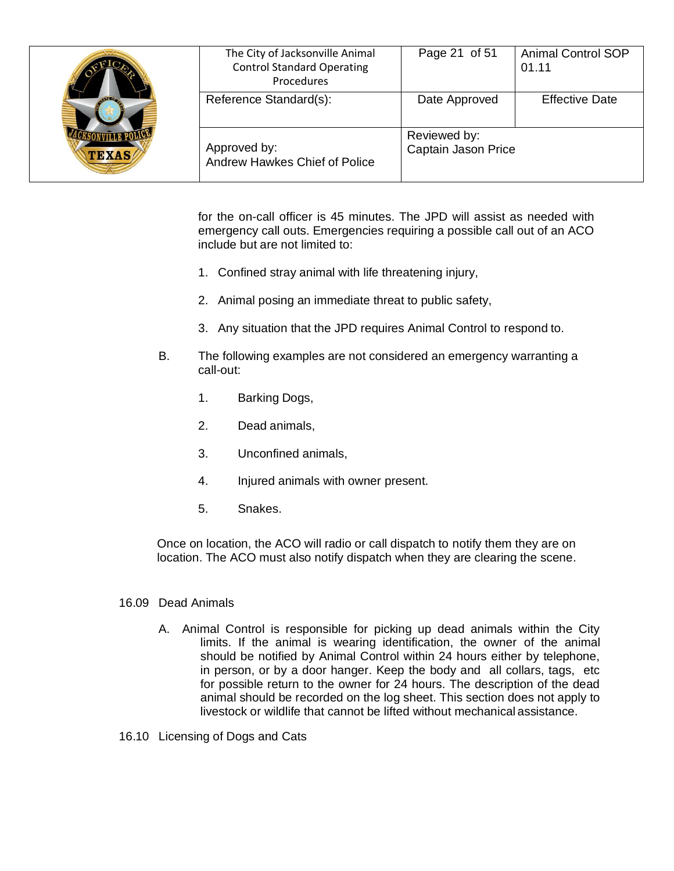| <b>TEXAS</b> | The City of Jacksonville Animal<br><b>Control Standard Operating</b><br>Procedures | Page 21 of 51                       | <b>Animal Control SOP</b><br>01.11 |
|--------------|------------------------------------------------------------------------------------|-------------------------------------|------------------------------------|
|              | Reference Standard(s):                                                             | Date Approved                       | <b>Effective Date</b>              |
|              | Approved by:<br>Andrew Hawkes Chief of Police                                      | Reviewed by:<br>Captain Jason Price |                                    |

for the on-call officer is 45 minutes. The JPD will assist as needed with emergency call outs. Emergencies requiring a possible call out of an ACO include but are not limited to:

- 1. Confined stray animal with life threatening injury,
- 2. Animal posing an immediate threat to public safety,
- 3. Any situation that the JPD requires Animal Control to respond to.
- B. The following examples are not considered an emergency warranting a call-out:
	- 1. Barking Dogs,
	- 2. Dead animals,
	- 3. Unconfined animals,
	- 4. Injured animals with owner present.
	- 5. Snakes.

Once on location, the ACO will radio or call dispatch to notify them they are on location. The ACO must also notify dispatch when they are clearing the scene.

#### 16.09 Dead Animals

- A. Animal Control is responsible for picking up dead animals within the City limits. If the animal is wearing identification, the owner of the animal should be notified by Animal Control within 24 hours either by telephone, in person, or by a door hanger. Keep the body and all collars, tags, etc for possible return to the owner for 24 hours. The description of the dead animal should be recorded on the log sheet. This section does not apply to livestock or wildlife that cannot be lifted without mechanical assistance.
- 16.10 Licensing of Dogs and Cats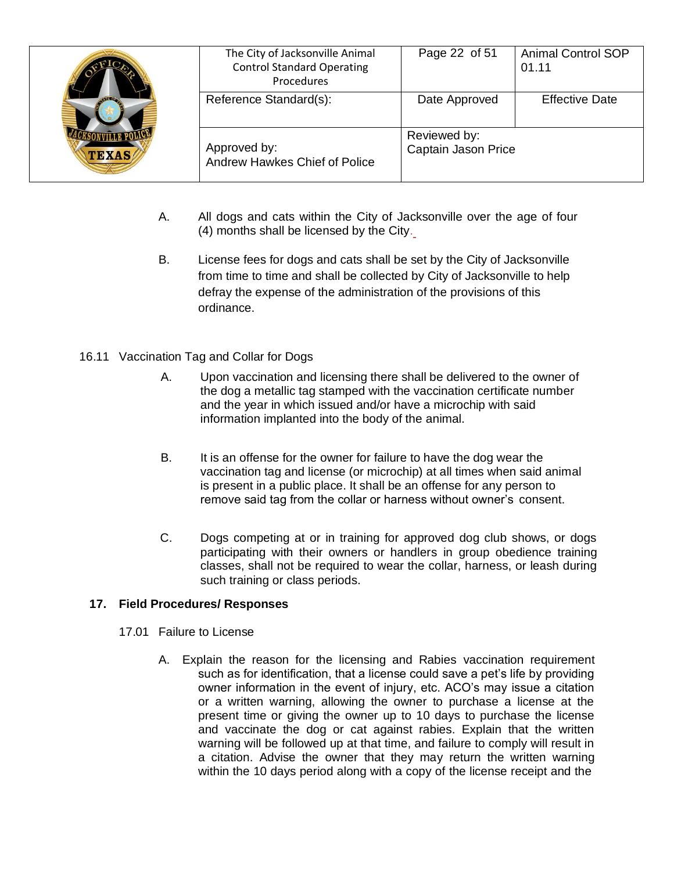| <b>AVIEW</b><br><b>TEXAS</b> | The City of Jacksonville Animal<br><b>Control Standard Operating</b><br>Procedures | Page 22 of 51                       | <b>Animal Control SOP</b><br>01.11 |
|------------------------------|------------------------------------------------------------------------------------|-------------------------------------|------------------------------------|
|                              | Reference Standard(s):                                                             | Date Approved                       | <b>Effective Date</b>              |
|                              | Approved by:<br>Andrew Hawkes Chief of Police                                      | Reviewed by:<br>Captain Jason Price |                                    |

- A. All dogs and cats within the City of Jacksonville over the age of four (4) months shall be licensed by the City.
- B. License fees for dogs and cats shall be set by the City of Jacksonville from time to time and shall be collected by City of Jacksonville to help defray the expense of the administration of the provisions of this ordinance.

## 16.11 Vaccination Tag and Collar for Dogs

- A. Upon vaccination and licensing there shall be delivered to the owner of the dog a metallic tag stamped with the vaccination certificate number and the year in which issued and/or have a microchip with said information implanted into the body of the animal.
- B. It is an offense for the owner for failure to have the dog wear the vaccination tag and license (or microchip) at all times when said animal is present in a public place. It shall be an offense for any person to remove said tag from the collar or harness without owner's consent.
- C. Dogs competing at or in training for approved dog club shows, or dogs participating with their owners or handlers in group obedience training classes, shall not be required to wear the collar, harness, or leash during such training or class periods.

### **17. Field Procedures/ Responses**

- 17.01 Failure to License
	- A. Explain the reason for the licensing and Rabies vaccination requirement such as for identification, that a license could save a pet's life by providing owner information in the event of injury, etc. ACO's may issue a citation or a written warning, allowing the owner to purchase a license at the present time or giving the owner up to 10 days to purchase the license and vaccinate the dog or cat against rabies. Explain that the written warning will be followed up at that time, and failure to comply will result in a citation. Advise the owner that they may return the written warning within the 10 days period along with a copy of the license receipt and the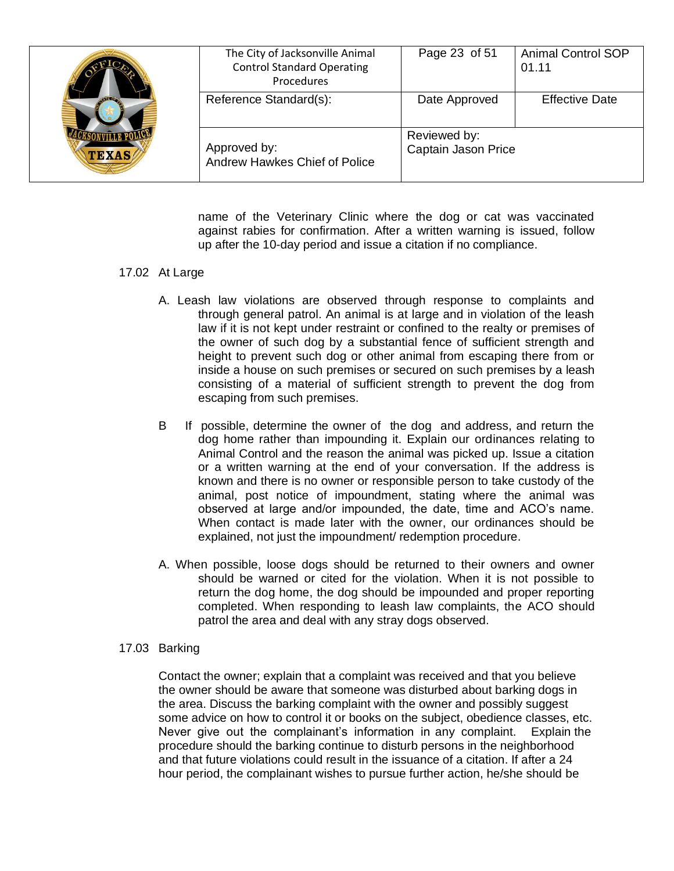| <b>AVI 2007</b><br><b>TEXAS</b> | The City of Jacksonville Animal<br><b>Control Standard Operating</b><br>Procedures | Page 23 of 51                       | <b>Animal Control SOP</b><br>01.11 |
|---------------------------------|------------------------------------------------------------------------------------|-------------------------------------|------------------------------------|
|                                 | Reference Standard(s):                                                             | Date Approved                       | <b>Effective Date</b>              |
|                                 | Approved by:<br>Andrew Hawkes Chief of Police                                      | Reviewed by:<br>Captain Jason Price |                                    |

name of the Veterinary Clinic where the dog or cat was vaccinated against rabies for confirmation. After a written warning is issued, follow up after the 10-day period and issue a citation if no compliance.

#### 17.02 At Large

- A. Leash law violations are observed through response to complaints and through general patrol. An animal is at large and in violation of the leash law if it is not kept under restraint or confined to the realty or premises of the owner of such dog by a substantial fence of sufficient strength and height to prevent such dog or other animal from escaping there from or inside a house on such premises or secured on such premises by a leash consisting of a material of sufficient strength to prevent the dog from escaping from such premises.
- B If possible, determine the owner of the dog and address, and return the dog home rather than impounding it. Explain our ordinances relating to Animal Control and the reason the animal was picked up. Issue a citation or a written warning at the end of your conversation. If the address is known and there is no owner or responsible person to take custody of the animal, post notice of impoundment, stating where the animal was observed at large and/or impounded, the date, time and ACO's name. When contact is made later with the owner, our ordinances should be explained, not just the impoundment/ redemption procedure.
- A. When possible, loose dogs should be returned to their owners and owner should be warned or cited for the violation. When it is not possible to return the dog home, the dog should be impounded and proper reporting completed. When responding to leash law complaints, the ACO should patrol the area and deal with any stray dogs observed.

#### 17.03 Barking

Contact the owner; explain that a complaint was received and that you believe the owner should be aware that someone was disturbed about barking dogs in the area. Discuss the barking complaint with the owner and possibly suggest some advice on how to control it or books on the subject, obedience classes, etc. Never give out the complainant's information in any complaint. Explain the procedure should the barking continue to disturb persons in the neighborhood and that future violations could result in the issuance of a citation. If after a 24 hour period, the complainant wishes to pursue further action, he/she should be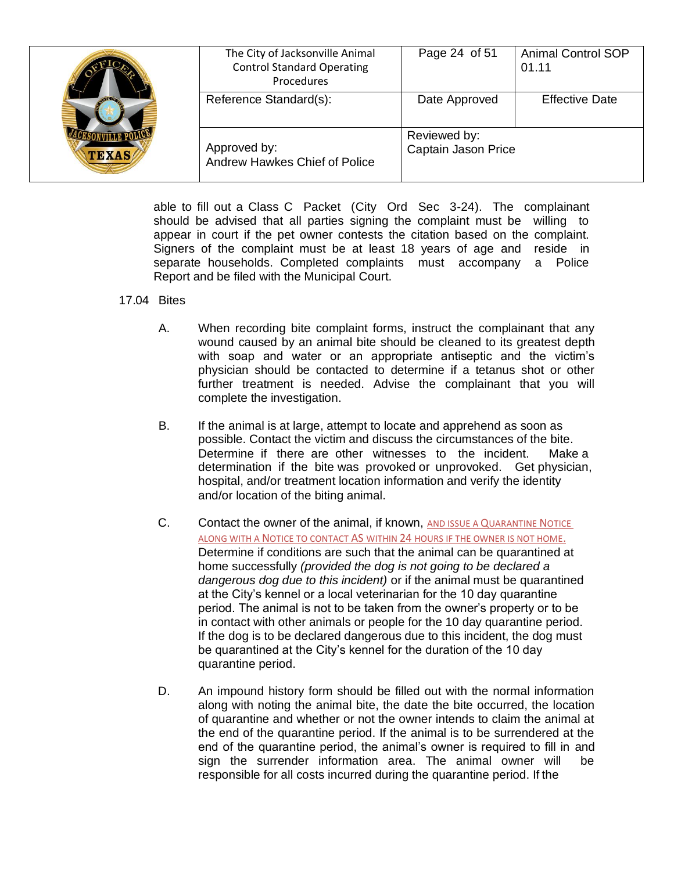| <b>TEXAS</b> | The City of Jacksonville Animal<br><b>Control Standard Operating</b><br>Procedures | Page 24 of 51                       | <b>Animal Control SOP</b><br>01.11 |
|--------------|------------------------------------------------------------------------------------|-------------------------------------|------------------------------------|
|              | Reference Standard(s):                                                             | Date Approved                       | <b>Effective Date</b>              |
|              | Approved by:<br>Andrew Hawkes Chief of Police                                      | Reviewed by:<br>Captain Jason Price |                                    |

able to fill out a Class C Packet (City Ord Sec 3-24). The complainant should be advised that all parties signing the complaint must be willing to appear in court if the pet owner contests the citation based on the complaint. Signers of the complaint must be at least 18 years of age and reside in separate households. Completed complaints must accompany a Police Report and be filed with the Municipal Court.

#### 17.04 Bites

- A. When recording bite complaint forms, instruct the complainant that any wound caused by an animal bite should be cleaned to its greatest depth with soap and water or an appropriate antiseptic and the victim's physician should be contacted to determine if a tetanus shot or other further treatment is needed. Advise the complainant that you will complete the investigation.
- B. If the animal is at large, attempt to locate and apprehend as soon as possible. Contact the victim and discuss the circumstances of the bite. Determine if there are other witnesses to the incident. Make a determination if the bite was provoked or unprovoked. Get physician, hospital, and/or treatment location information and verify the identity and/or location of the biting animal.
- C. Contact the owner of the animal, if known, AND ISSUE A QUARANTINE NOTICE ALONG WITH A NOTICE TO CONTACT AS WITHIN 24 HOURS IF THE OWNER IS NOT HOME. Determine if conditions are such that the animal can be quarantined at home successfully *(provided the dog is not going to be declared a dangerous dog due to this incident)* or if the animal must be quarantined at the City's kennel or a local veterinarian for the 10 day quarantine period. The animal is not to be taken from the owner's property or to be in contact with other animals or people for the 10 day quarantine period. If the dog is to be declared dangerous due to this incident, the dog must be quarantined at the City's kennel for the duration of the 10 day quarantine period.
- D. An impound history form should be filled out with the normal information along with noting the animal bite, the date the bite occurred, the location of quarantine and whether or not the owner intends to claim the animal at the end of the quarantine period. If the animal is to be surrendered at the end of the quarantine period, the animal's owner is required to fill in and sign the surrender information area. The animal owner will be responsible for all costs incurred during the quarantine period. If the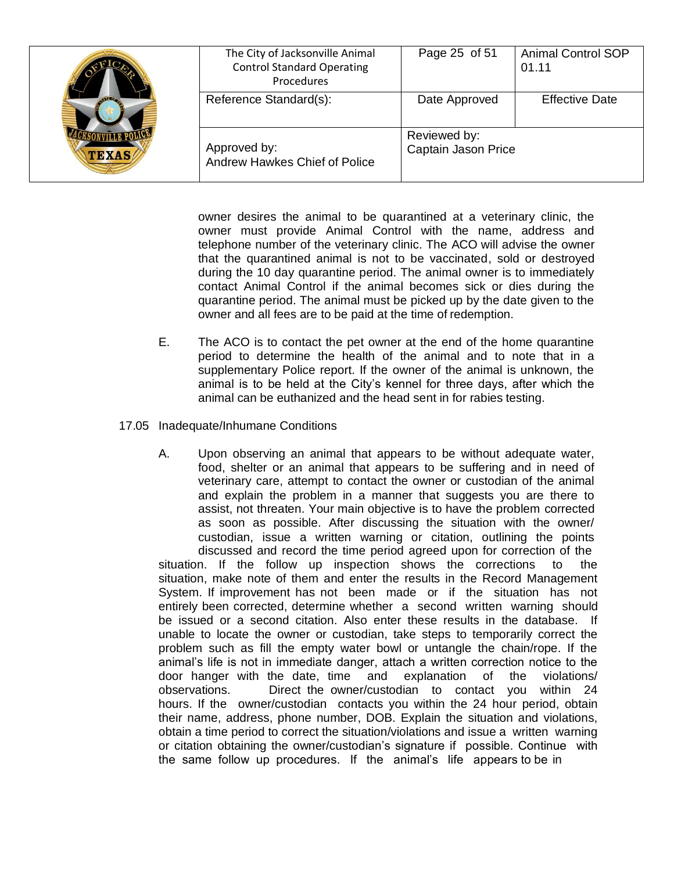| <b>TEXAS</b> | The City of Jacksonville Animal<br><b>Control Standard Operating</b><br>Procedures | Page 25 of 51                       | <b>Animal Control SOP</b><br>01.11 |
|--------------|------------------------------------------------------------------------------------|-------------------------------------|------------------------------------|
|              | Reference Standard(s):                                                             | Date Approved                       | <b>Effective Date</b>              |
|              | Approved by:<br>Andrew Hawkes Chief of Police                                      | Reviewed by:<br>Captain Jason Price |                                    |

owner desires the animal to be quarantined at a veterinary clinic, the owner must provide Animal Control with the name, address and telephone number of the veterinary clinic. The ACO will advise the owner that the quarantined animal is not to be vaccinated, sold or destroyed during the 10 day quarantine period. The animal owner is to immediately contact Animal Control if the animal becomes sick or dies during the quarantine period. The animal must be picked up by the date given to the owner and all fees are to be paid at the time of redemption.

- E. The ACO is to contact the pet owner at the end of the home quarantine period to determine the health of the animal and to note that in a supplementary Police report. If the owner of the animal is unknown, the animal is to be held at the City's kennel for three days, after which the animal can be euthanized and the head sent in for rabies testing.
- 17.05 Inadequate/Inhumane Conditions
	- A. Upon observing an animal that appears to be without adequate water, food, shelter or an animal that appears to be suffering and in need of veterinary care, attempt to contact the owner or custodian of the animal and explain the problem in a manner that suggests you are there to assist, not threaten. Your main objective is to have the problem corrected as soon as possible. After discussing the situation with the owner/ custodian, issue a written warning or citation, outlining the points discussed and record the time period agreed upon for correction of the situation. If the follow up inspection shows the corrections to the situation, make note of them and enter the results in the Record Management System. If improvement has not been made or if the situation has not entirely been corrected, determine whether a second written warning should be issued or a second citation. Also enter these results in the database. If unable to locate the owner or custodian, take steps to temporarily correct the problem such as fill the empty water bowl or untangle the chain/rope. If the animal's life is not in immediate danger, attach a written correction notice to the door hanger with the date, time and explanation of the violations/ observations. Direct the owner/custodian to contact you within 24 hours. If the owner/custodian contacts you within the 24 hour period, obtain their name, address, phone number, DOB. Explain the situation and violations, obtain a time period to correct the situation/violations and issue a written warning or citation obtaining the owner/custodian's signature if possible. Continue with the same follow up procedures. If the animal's life appears to be in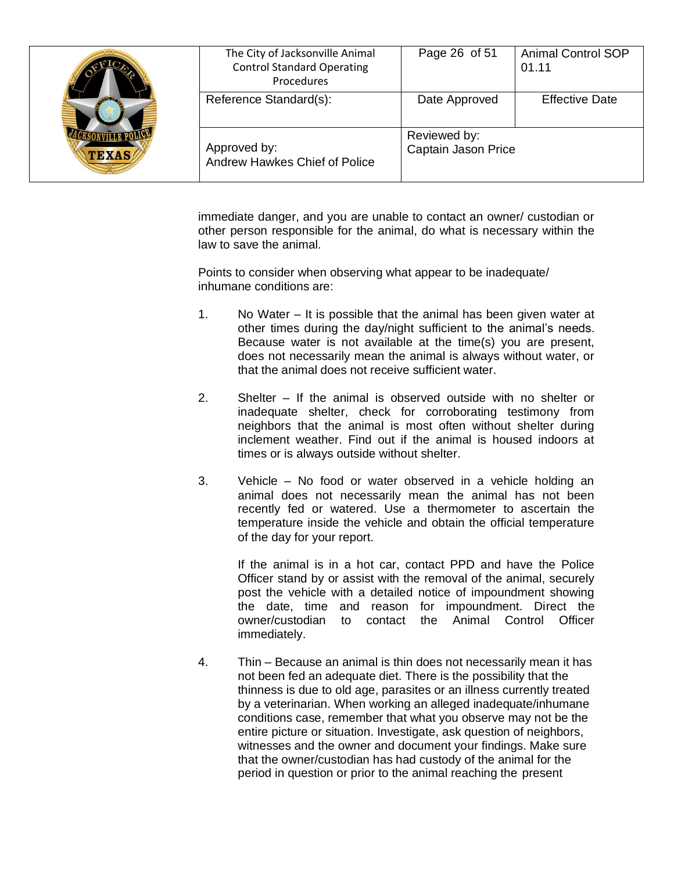| <b>TEXAS</b> | The City of Jacksonville Animal<br><b>Control Standard Operating</b><br>Procedures | Page 26 of 51                       | <b>Animal Control SOP</b><br>01.11 |
|--------------|------------------------------------------------------------------------------------|-------------------------------------|------------------------------------|
|              | Reference Standard(s):                                                             | Date Approved                       | <b>Effective Date</b>              |
|              | Approved by:<br>Andrew Hawkes Chief of Police                                      | Reviewed by:<br>Captain Jason Price |                                    |

immediate danger, and you are unable to contact an owner/ custodian or other person responsible for the animal, do what is necessary within the law to save the animal.

Points to consider when observing what appear to be inadequate/ inhumane conditions are:

- 1. No Water It is possible that the animal has been given water at other times during the day/night sufficient to the animal's needs. Because water is not available at the time(s) you are present, does not necessarily mean the animal is always without water, or that the animal does not receive sufficient water.
- 2. Shelter If the animal is observed outside with no shelter or inadequate shelter, check for corroborating testimony from neighbors that the animal is most often without shelter during inclement weather. Find out if the animal is housed indoors at times or is always outside without shelter.
- 3. Vehicle No food or water observed in a vehicle holding an animal does not necessarily mean the animal has not been recently fed or watered. Use a thermometer to ascertain the temperature inside the vehicle and obtain the official temperature of the day for your report.

If the animal is in a hot car, contact PPD and have the Police Officer stand by or assist with the removal of the animal, securely post the vehicle with a detailed notice of impoundment showing the date, time and reason for impoundment. Direct the owner/custodian to contact the Animal Control Officer immediately.

4. Thin – Because an animal is thin does not necessarily mean it has not been fed an adequate diet. There is the possibility that the thinness is due to old age, parasites or an illness currently treated by a veterinarian. When working an alleged inadequate/inhumane conditions case, remember that what you observe may not be the entire picture or situation. Investigate, ask question of neighbors, witnesses and the owner and document your findings. Make sure that the owner/custodian has had custody of the animal for the period in question or prior to the animal reaching the present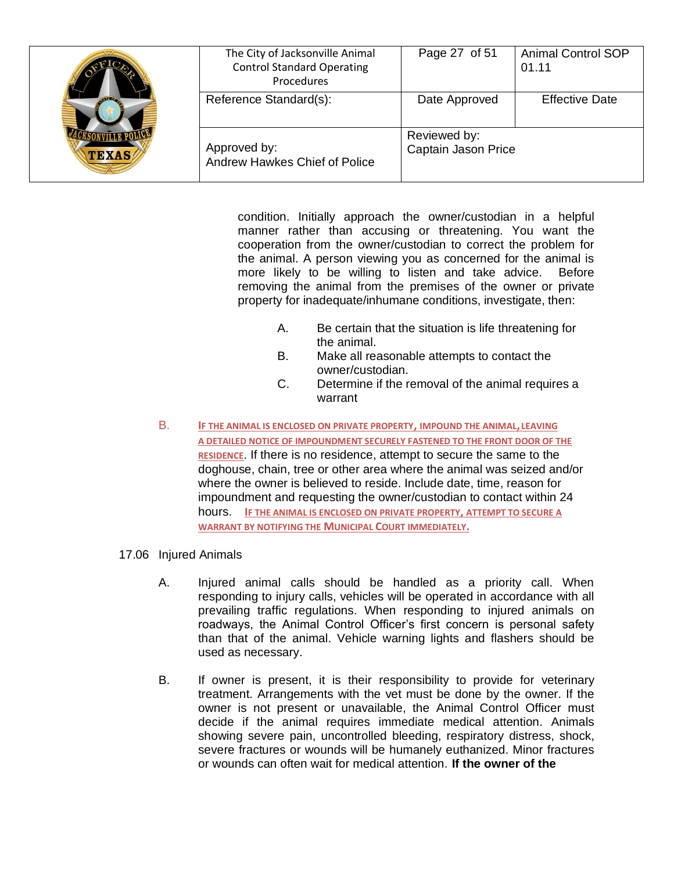| <b>TEXAS</b> | The City of Jacksonville Animal<br><b>Control Standard Operating</b><br>Procedures | Page 27 of 51                       | <b>Animal Control SOP</b><br>01.11 |
|--------------|------------------------------------------------------------------------------------|-------------------------------------|------------------------------------|
|              | Reference Standard(s):                                                             | Date Approved                       | <b>Effective Date</b>              |
|              | Approved by:<br>Andrew Hawkes Chief of Police                                      | Reviewed by:<br>Captain Jason Price |                                    |

condition. Initially approach the owner/custodian in a helpful manner rather than accusing or threatening. You want the cooperation from the owner/custodian to correct the problem for the animal. A person viewing you as concerned for the animal is more likely to be willing to listen and take advice. Before removing the animal from the premises of the owner or private property for inadequate/inhumane conditions, investigate, then:

- A. Be certain that the situation is life threatening for the animal.
- B. Make all reasonable attempts to contact the owner/custodian.
- C. Determine if the removal of the animal requires a warrant
- B. **IF THE ANIMAL IS ENCLOSED ON PRIVATE PROPERTY, IMPOUND THE ANIMAL, LEAVING A DETAILED NOTICE OF IMPOUNDMENT SECURELY FASTENED TO THE FRONT DOOR OF THE RESIDENCE**. If there is no residence, attempt to secure the same to the doghouse, chain, tree or other area where the animal was seized and/or where the owner is believed to reside. Include date, time, reason for impoundment and requesting the owner/custodian to contact within 24 hours. **IF THE ANIMAL IS ENCLOSED ON PRIVATE PROPERTY, ATTEMPT TO SECURE A WARRANT BY NOTIFYING THE MUNICIPAL COURT IMMEDIATELY.**
- 17.06 Injured Animals
	- A. Injured animal calls should be handled as a priority call. When responding to injury calls, vehicles will be operated in accordance with all prevailing traffic regulations. When responding to injured animals on roadways, the Animal Control Officer's first concern is personal safety than that of the animal. Vehicle warning lights and flashers should be used as necessary.
	- B. If owner is present, it is their responsibility to provide for veterinary treatment. Arrangements with the vet must be done by the owner. If the owner is not present or unavailable, the Animal Control Officer must decide if the animal requires immediate medical attention. Animals showing severe pain, uncontrolled bleeding, respiratory distress, shock, severe fractures or wounds will be humanely euthanized. Minor fractures or wounds can often wait for medical attention. **If the owner of the**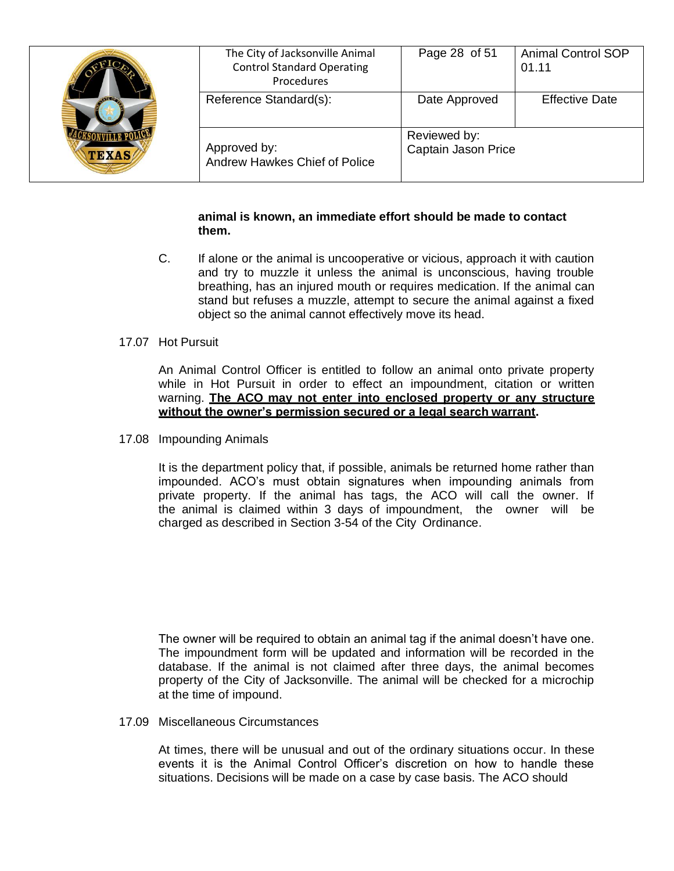| <b>TEXAS</b> | The City of Jacksonville Animal<br><b>Control Standard Operating</b><br>Procedures | Page 28 of 51                       | <b>Animal Control SOP</b><br>01.11 |
|--------------|------------------------------------------------------------------------------------|-------------------------------------|------------------------------------|
|              | Reference Standard(s):                                                             | Date Approved                       | <b>Effective Date</b>              |
|              | Approved by:<br>Andrew Hawkes Chief of Police                                      | Reviewed by:<br>Captain Jason Price |                                    |

#### **animal is known, an immediate effort should be made to contact them.**

- C. If alone or the animal is uncooperative or vicious, approach it with caution and try to muzzle it unless the animal is unconscious, having trouble breathing, has an injured mouth or requires medication. If the animal can stand but refuses a muzzle, attempt to secure the animal against a fixed object so the animal cannot effectively move its head.
- 17.07 Hot Pursuit

An Animal Control Officer is entitled to follow an animal onto private property while in Hot Pursuit in order to effect an impoundment, citation or written warning. **The ACO may not enter into enclosed property or any structure without the owner's permission secured or a legal search warrant.**

17.08 Impounding Animals

It is the department policy that, if possible, animals be returned home rather than impounded. ACO's must obtain signatures when impounding animals from private property. If the animal has tags, the ACO will call the owner. If the animal is claimed within 3 days of impoundment, the owner will be charged as described in Section 3-54 of the City Ordinance.

The owner will be required to obtain an animal tag if the animal doesn't have one. The impoundment form will be updated and information will be recorded in the database. If the animal is not claimed after three days, the animal becomes property of the City of Jacksonville. The animal will be checked for a microchip at the time of impound.

17.09 Miscellaneous Circumstances

At times, there will be unusual and out of the ordinary situations occur. In these events it is the Animal Control Officer's discretion on how to handle these situations. Decisions will be made on a case by case basis. The ACO should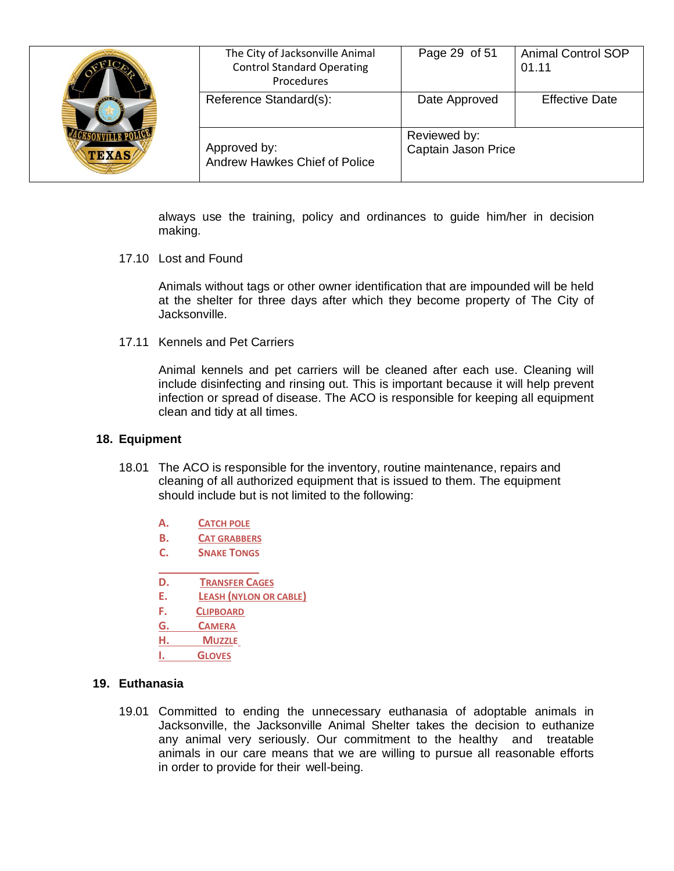| $\sqrt{120}$<br><b>TEXAS</b> | The City of Jacksonville Animal<br><b>Control Standard Operating</b><br>Procedures | Page 29 of 51                       | <b>Animal Control SOP</b><br>01.11 |
|------------------------------|------------------------------------------------------------------------------------|-------------------------------------|------------------------------------|
|                              | Reference Standard(s):                                                             | Date Approved                       | <b>Effective Date</b>              |
|                              | Approved by:<br>Andrew Hawkes Chief of Police                                      | Reviewed by:<br>Captain Jason Price |                                    |

always use the training, policy and ordinances to guide him/her in decision making.

17.10 Lost and Found

Animals without tags or other owner identification that are impounded will be held at the shelter for three days after which they become property of The City of Jacksonville.

17.11 Kennels and Pet Carriers

Animal kennels and pet carriers will be cleaned after each use. Cleaning will include disinfecting and rinsing out. This is important because it will help prevent infection or spread of disease. The ACO is responsible for keeping all equipment clean and tidy at all times.

#### **18. Equipment**

- 18.01 The ACO is responsible for the inventory, routine maintenance, repairs and cleaning of all authorized equipment that is issued to them. The equipment should include but is not limited to the following:
	- **A. CATCH POLE**
	- **B. CAT GRABBERS**
	- **C. SNAKE TONGS**
	- **D. TRANSFER CAGES**
	- **E. LEASH (NYLON OR CABLE)**
	- **F. CLIPBOARD**
	- **G. CAMERA**
	- **H. MUZZLE**
	- **I. GLOVES**

### **19. Euthanasia**

19.01 Committed to ending the unnecessary euthanasia of adoptable animals in Jacksonville, the Jacksonville Animal Shelter takes the decision to euthanize any animal very seriously. Our commitment to the healthy and treatable animals in our care means that we are willing to pursue all reasonable efforts in order to provide for their well-being.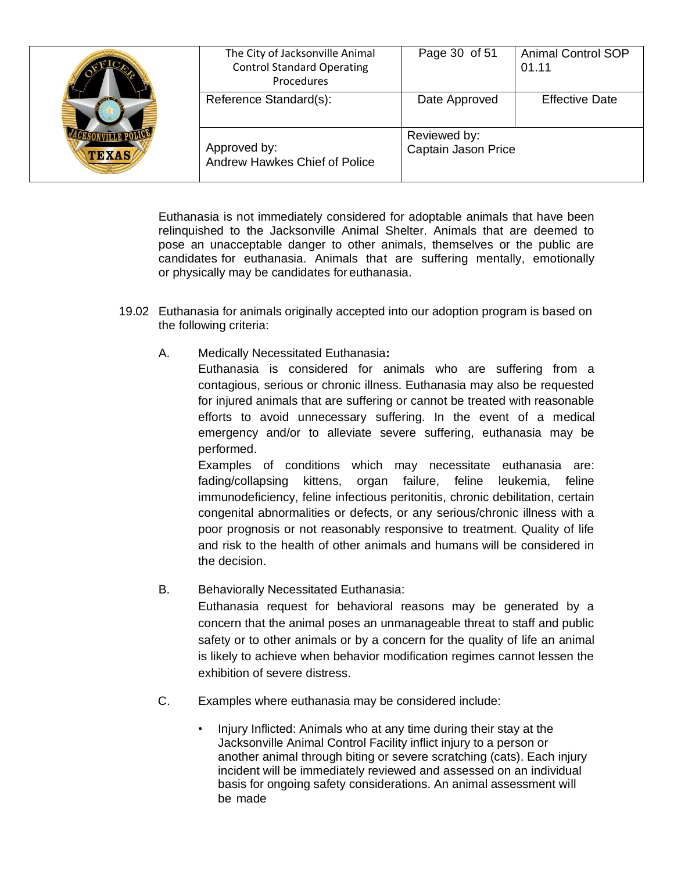| <b>TEXAS</b> | The City of Jacksonville Animal<br><b>Control Standard Operating</b><br>Procedures | Page 30 of 51                       | <b>Animal Control SOP</b><br>01.11 |
|--------------|------------------------------------------------------------------------------------|-------------------------------------|------------------------------------|
|              | Reference Standard(s):                                                             | Date Approved                       | <b>Effective Date</b>              |
|              | Approved by:<br>Andrew Hawkes Chief of Police                                      | Reviewed by:<br>Captain Jason Price |                                    |

Euthanasia is not immediately considered for adoptable animals that have been relinquished to the Jacksonville Animal Shelter. Animals that are deemed to pose an unacceptable danger to other animals, themselves or the public are candidates for euthanasia. Animals that are suffering mentally, emotionally or physically may be candidates for euthanasia.

- 19.02 Euthanasia for animals originally accepted into our adoption program is based on the following criteria:
	- A. Medically Necessitated Euthanasia**:** Euthanasia is considered for animals who are suffering from a contagious, serious or chronic illness. Euthanasia may also be requested for injured animals that are suffering or cannot be treated with reasonable efforts to avoid unnecessary suffering. In the event of a medical emergency and/or to alleviate severe suffering, euthanasia may be performed.

Examples of conditions which may necessitate euthanasia are: fading/collapsing kittens, organ failure, feline leukemia, feline immunodeficiency, feline infectious peritonitis, chronic debilitation, certain congenital abnormalities or defects, or any serious/chronic illness with a poor prognosis or not reasonably responsive to treatment. Quality of life and risk to the health of other animals and humans will be considered in the decision.

B. Behaviorally Necessitated Euthanasia:

Euthanasia request for behavioral reasons may be generated by a concern that the animal poses an unmanageable threat to staff and public safety or to other animals or by a concern for the quality of life an animal is likely to achieve when behavior modification regimes cannot lessen the exhibition of severe distress.

- C. Examples where euthanasia may be considered include:
	- Injury Inflicted: Animals who at any time during their stay at the Jacksonville Animal Control Facility inflict injury to a person or another animal through biting or severe scratching (cats). Each injury incident will be immediately reviewed and assessed on an individual basis for ongoing safety considerations. An animal assessment will be made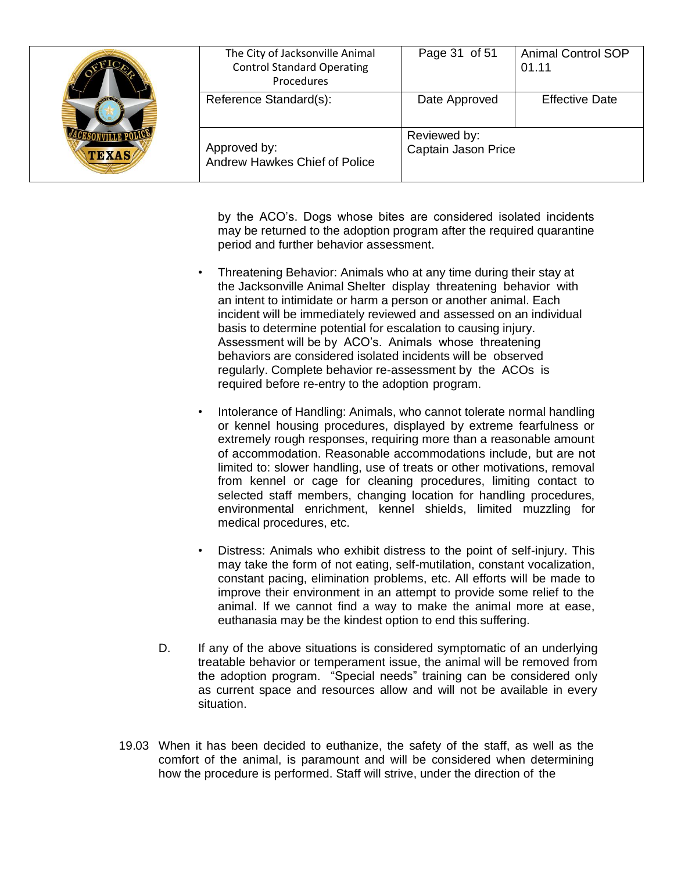| <b>STERN</b><br><b>TEXAS</b> | The City of Jacksonville Animal<br><b>Control Standard Operating</b><br>Procedures | Page 31 of 51                       | <b>Animal Control SOP</b><br>01.11 |
|------------------------------|------------------------------------------------------------------------------------|-------------------------------------|------------------------------------|
|                              | Reference Standard(s):                                                             | Date Approved                       | <b>Effective Date</b>              |
|                              | Approved by:<br>Andrew Hawkes Chief of Police                                      | Reviewed by:<br>Captain Jason Price |                                    |

by the ACO's. Dogs whose bites are considered isolated incidents may be returned to the adoption program after the required quarantine period and further behavior assessment.

- Threatening Behavior: Animals who at any time during their stay at the Jacksonville Animal Shelter display threatening behavior with an intent to intimidate or harm a person or another animal. Each incident will be immediately reviewed and assessed on an individual basis to determine potential for escalation to causing injury. Assessment will be by ACO's. Animals whose threatening behaviors are considered isolated incidents will be observed regularly. Complete behavior re-assessment by the ACOs is required before re-entry to the adoption program.
- Intolerance of Handling: Animals, who cannot tolerate normal handling or kennel housing procedures, displayed by extreme fearfulness or extremely rough responses, requiring more than a reasonable amount of accommodation. Reasonable accommodations include, but are not limited to: slower handling, use of treats or other motivations, removal from kennel or cage for cleaning procedures, limiting contact to selected staff members, changing location for handling procedures, environmental enrichment, kennel shields, limited muzzling for medical procedures, etc.
- Distress: Animals who exhibit distress to the point of self-injury. This may take the form of not eating, self-mutilation, constant vocalization, constant pacing, elimination problems, etc. All efforts will be made to improve their environment in an attempt to provide some relief to the animal. If we cannot find a way to make the animal more at ease, euthanasia may be the kindest option to end this suffering.
- D. If any of the above situations is considered symptomatic of an underlying treatable behavior or temperament issue, the animal will be removed from the adoption program. "Special needs" training can be considered only as current space and resources allow and will not be available in every situation.
- 19.03 When it has been decided to euthanize, the safety of the staff, as well as the comfort of the animal, is paramount and will be considered when determining how the procedure is performed. Staff will strive, under the direction of the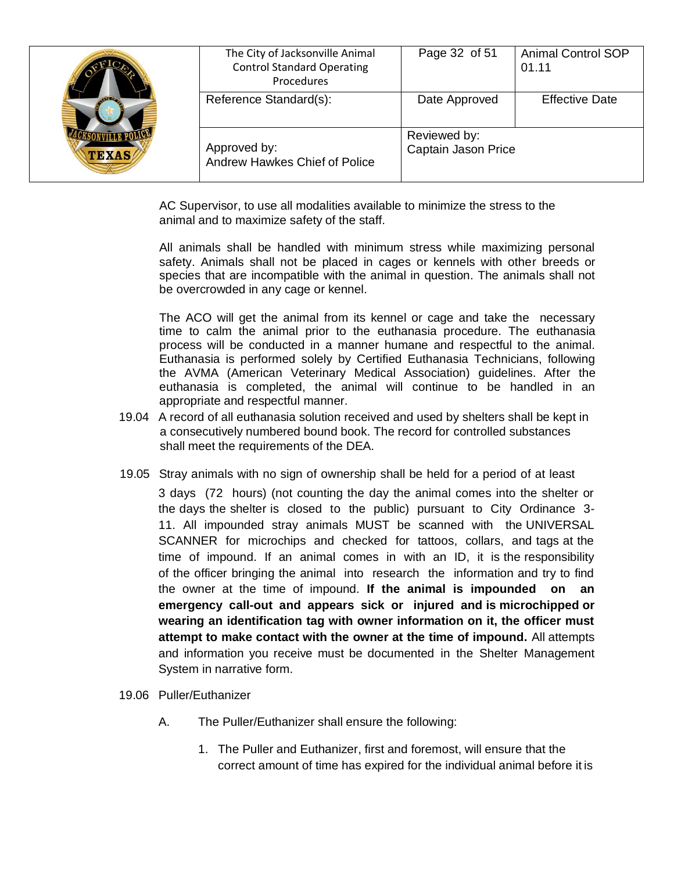| $\sqrt{100}$<br><b>TEXAS</b> | The City of Jacksonville Animal<br><b>Control Standard Operating</b><br>Procedures | Page 32 of 51                       | <b>Animal Control SOP</b><br>01.11 |
|------------------------------|------------------------------------------------------------------------------------|-------------------------------------|------------------------------------|
|                              | Reference Standard(s):                                                             | Date Approved                       | <b>Effective Date</b>              |
|                              | Approved by:<br><b>Andrew Hawkes Chief of Police</b>                               | Reviewed by:<br>Captain Jason Price |                                    |

AC Supervisor, to use all modalities available to minimize the stress to the animal and to maximize safety of the staff.

All animals shall be handled with minimum stress while maximizing personal safety. Animals shall not be placed in cages or kennels with other breeds or species that are incompatible with the animal in question. The animals shall not be overcrowded in any cage or kennel.

The ACO will get the animal from its kennel or cage and take the necessary time to calm the animal prior to the euthanasia procedure. The euthanasia process will be conducted in a manner humane and respectful to the animal. Euthanasia is performed solely by Certified Euthanasia Technicians, following the AVMA (American Veterinary Medical Association) guidelines. After the euthanasia is completed, the animal will continue to be handled in an appropriate and respectful manner.

- 19.04 A record of all euthanasia solution received and used by shelters shall be kept in a consecutively numbered bound book. The record for controlled substances shall meet the requirements of the DEA.
- 19.05 Stray animals with no sign of ownership shall be held for a period of at least

3 days (72 hours) (not counting the day the animal comes into the shelter or the days the shelter is closed to the public) pursuant to City Ordinance 3- 11. All impounded stray animals MUST be scanned with the UNIVERSAL SCANNER for microchips and checked for tattoos, collars, and tags at the time of impound. If an animal comes in with an ID, it is the responsibility of the officer bringing the animal into research the information and try to find the owner at the time of impound. **If the animal is impounded on an emergency call-out and appears sick or injured and is microchipped or wearing an identification tag with owner information on it, the officer must attempt to make contact with the owner at the time of impound.** All attempts and information you receive must be documented in the Shelter Management System in narrative form.

- 19.06 Puller/Euthanizer
	- A. The Puller/Euthanizer shall ensure the following:
		- 1. The Puller and Euthanizer, first and foremost, will ensure that the correct amount of time has expired for the individual animal before it is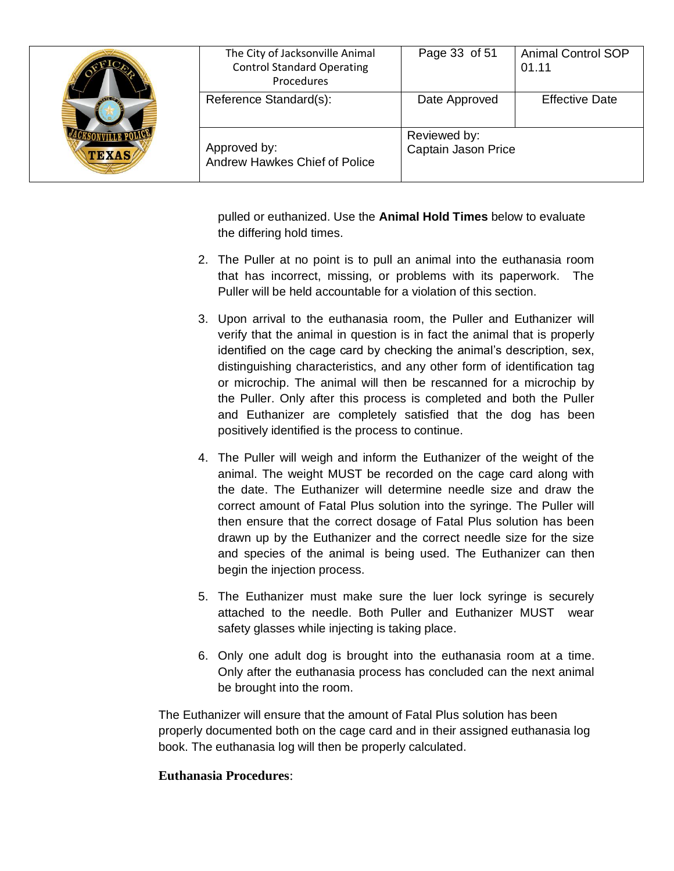| <b>TEXAS</b> | The City of Jacksonville Animal<br><b>Control Standard Operating</b><br>Procedures | Page 33 of 51                       | <b>Animal Control SOP</b><br>01.11 |
|--------------|------------------------------------------------------------------------------------|-------------------------------------|------------------------------------|
|              | Reference Standard(s):                                                             | Date Approved                       | <b>Effective Date</b>              |
|              | Approved by:<br>Andrew Hawkes Chief of Police                                      | Reviewed by:<br>Captain Jason Price |                                    |

pulled or euthanized. Use the **Animal Hold Times** below to evaluate the differing hold times.

- 2. The Puller at no point is to pull an animal into the euthanasia room that has incorrect, missing, or problems with its paperwork. The Puller will be held accountable for a violation of this section.
- 3. Upon arrival to the euthanasia room, the Puller and Euthanizer will verify that the animal in question is in fact the animal that is properly identified on the cage card by checking the animal's description, sex, distinguishing characteristics, and any other form of identification tag or microchip. The animal will then be rescanned for a microchip by the Puller. Only after this process is completed and both the Puller and Euthanizer are completely satisfied that the dog has been positively identified is the process to continue.
- 4. The Puller will weigh and inform the Euthanizer of the weight of the animal. The weight MUST be recorded on the cage card along with the date. The Euthanizer will determine needle size and draw the correct amount of Fatal Plus solution into the syringe. The Puller will then ensure that the correct dosage of Fatal Plus solution has been drawn up by the Euthanizer and the correct needle size for the size and species of the animal is being used. The Euthanizer can then begin the injection process.
- 5. The Euthanizer must make sure the luer lock syringe is securely attached to the needle. Both Puller and Euthanizer MUST wear safety glasses while injecting is taking place.
- 6. Only one adult dog is brought into the euthanasia room at a time. Only after the euthanasia process has concluded can the next animal be brought into the room.

The Euthanizer will ensure that the amount of Fatal Plus solution has been properly documented both on the cage card and in their assigned euthanasia log book. The euthanasia log will then be properly calculated.

## **Euthanasia Procedures**: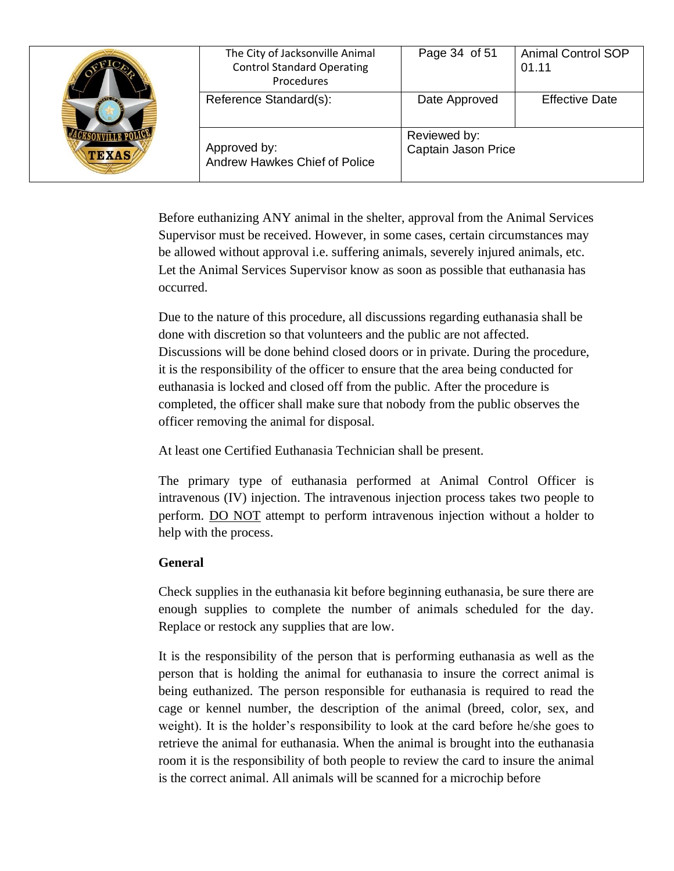| <b>TEXAS</b> | The City of Jacksonville Animal<br><b>Control Standard Operating</b><br>Procedures | Page 34 of 51                       | <b>Animal Control SOP</b><br>01.11 |
|--------------|------------------------------------------------------------------------------------|-------------------------------------|------------------------------------|
|              | Reference Standard(s):                                                             | Date Approved                       | <b>Effective Date</b>              |
|              | Approved by:<br>Andrew Hawkes Chief of Police                                      | Reviewed by:<br>Captain Jason Price |                                    |

Before euthanizing ANY animal in the shelter, approval from the Animal Services Supervisor must be received. However, in some cases, certain circumstances may be allowed without approval i.e. suffering animals, severely injured animals, etc. Let the Animal Services Supervisor know as soon as possible that euthanasia has occurred.

Due to the nature of this procedure, all discussions regarding euthanasia shall be done with discretion so that volunteers and the public are not affected. Discussions will be done behind closed doors or in private. During the procedure, it is the responsibility of the officer to ensure that the area being conducted for euthanasia is locked and closed off from the public. After the procedure is completed, the officer shall make sure that nobody from the public observes the officer removing the animal for disposal.

At least one Certified Euthanasia Technician shall be present.

The primary type of euthanasia performed at Animal Control Officer is intravenous (IV) injection. The intravenous injection process takes two people to perform. DO NOT attempt to perform intravenous injection without a holder to help with the process.

# **General**

Check supplies in the euthanasia kit before beginning euthanasia, be sure there are enough supplies to complete the number of animals scheduled for the day. Replace or restock any supplies that are low.

It is the responsibility of the person that is performing euthanasia as well as the person that is holding the animal for euthanasia to insure the correct animal is being euthanized. The person responsible for euthanasia is required to read the cage or kennel number, the description of the animal (breed, color, sex, and weight). It is the holder's responsibility to look at the card before he/she goes to retrieve the animal for euthanasia. When the animal is brought into the euthanasia room it is the responsibility of both people to review the card to insure the animal is the correct animal. All animals will be scanned for a microchip before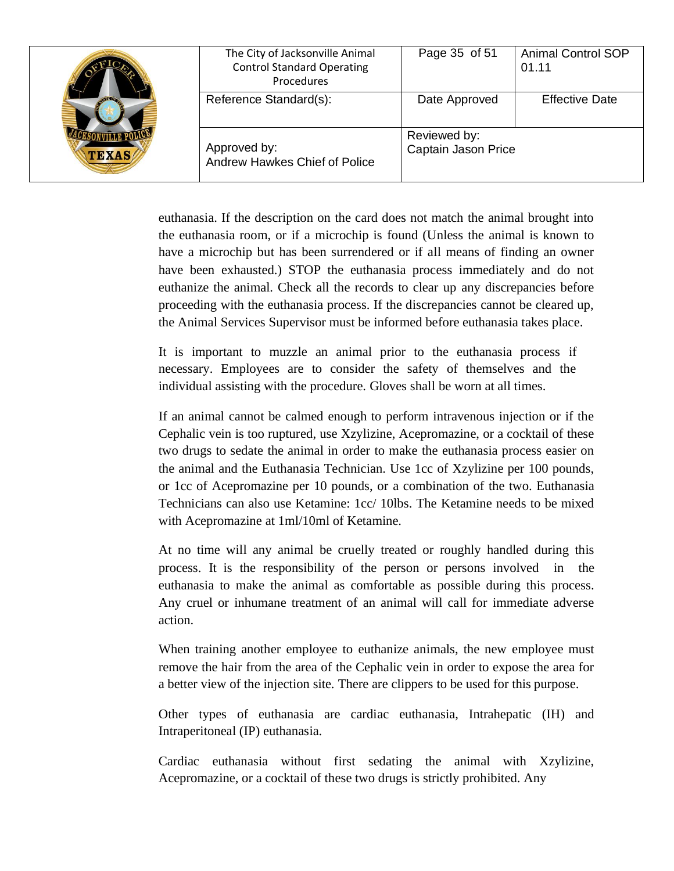| <b>TEXAS</b> | The City of Jacksonville Animal<br><b>Control Standard Operating</b><br>Procedures | Page 35 of 51                       | <b>Animal Control SOP</b><br>01.11 |
|--------------|------------------------------------------------------------------------------------|-------------------------------------|------------------------------------|
|              | Reference Standard(s):                                                             | Date Approved                       | <b>Effective Date</b>              |
|              | Approved by:<br>Andrew Hawkes Chief of Police                                      | Reviewed by:<br>Captain Jason Price |                                    |

euthanasia. If the description on the card does not match the animal brought into the euthanasia room, or if a microchip is found (Unless the animal is known to have a microchip but has been surrendered or if all means of finding an owner have been exhausted.) STOP the euthanasia process immediately and do not euthanize the animal. Check all the records to clear up any discrepancies before proceeding with the euthanasia process. If the discrepancies cannot be cleared up, the Animal Services Supervisor must be informed before euthanasia takes place.

It is important to muzzle an animal prior to the euthanasia process if necessary. Employees are to consider the safety of themselves and the individual assisting with the procedure. Gloves shall be worn at all times.

If an animal cannot be calmed enough to perform intravenous injection or if the Cephalic vein is too ruptured, use Xzylizine, Acepromazine, or a cocktail of these two drugs to sedate the animal in order to make the euthanasia process easier on the animal and the Euthanasia Technician. Use 1cc of Xzylizine per 100 pounds, or 1cc of Acepromazine per 10 pounds, or a combination of the two. Euthanasia Technicians can also use Ketamine: 1cc/ 10lbs. The Ketamine needs to be mixed with Acepromazine at 1ml/10ml of Ketamine.

At no time will any animal be cruelly treated or roughly handled during this process. It is the responsibility of the person or persons involved in the euthanasia to make the animal as comfortable as possible during this process. Any cruel or inhumane treatment of an animal will call for immediate adverse action.

When training another employee to euthanize animals, the new employee must remove the hair from the area of the Cephalic vein in order to expose the area for a better view of the injection site. There are clippers to be used for this purpose.

Other types of euthanasia are cardiac euthanasia, Intrahepatic (IH) and Intraperitoneal (IP) euthanasia.

Cardiac euthanasia without first sedating the animal with Xzylizine, Acepromazine, or a cocktail of these two drugs is strictly prohibited. Any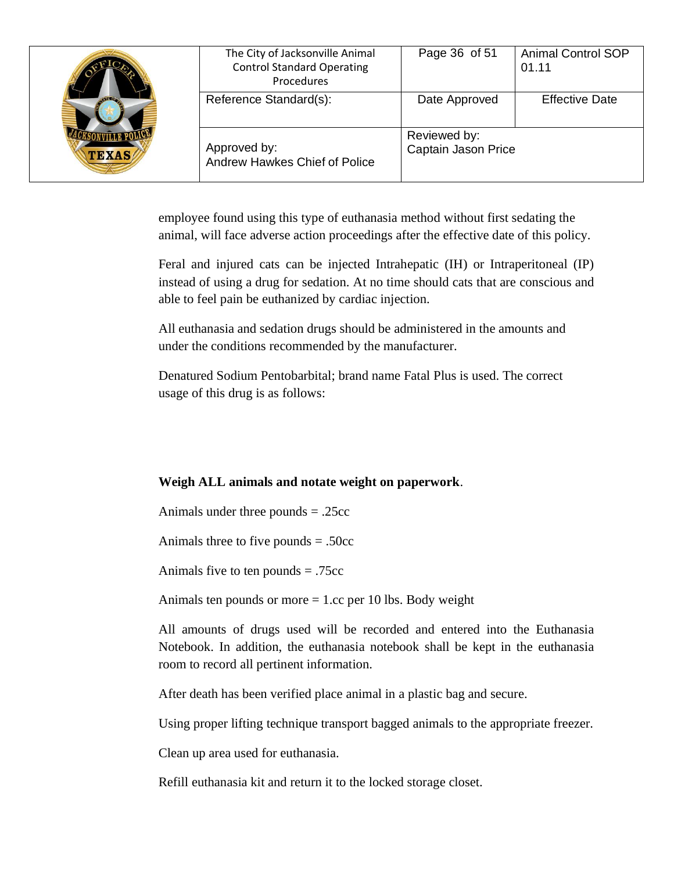| <b>ATTO</b><br><b>TEXAS</b> | The City of Jacksonville Animal<br><b>Control Standard Operating</b><br>Procedures | Page 36 of 51                       | <b>Animal Control SOP</b><br>01.11 |
|-----------------------------|------------------------------------------------------------------------------------|-------------------------------------|------------------------------------|
|                             | Reference Standard(s):                                                             | Date Approved                       | <b>Effective Date</b>              |
|                             | Approved by:<br><b>Andrew Hawkes Chief of Police</b>                               | Reviewed by:<br>Captain Jason Price |                                    |

employee found using this type of euthanasia method without first sedating the animal, will face adverse action proceedings after the effective date of this policy.

Feral and injured cats can be injected Intrahepatic (IH) or Intraperitoneal (IP) instead of using a drug for sedation. At no time should cats that are conscious and able to feel pain be euthanized by cardiac injection.

All euthanasia and sedation drugs should be administered in the amounts and under the conditions recommended by the manufacturer.

Denatured Sodium Pentobarbital; brand name Fatal Plus is used. The correct usage of this drug is as follows:

## **Weigh ALL animals and notate weight on paperwork**.

Animals under three pounds = .25cc

Animals three to five pounds  $= .50cc$ 

Animals five to ten pounds = .75cc

Animals ten pounds or more  $= 1$ .cc per 10 lbs. Body weight

All amounts of drugs used will be recorded and entered into the Euthanasia Notebook. In addition, the euthanasia notebook shall be kept in the euthanasia room to record all pertinent information.

After death has been verified place animal in a plastic bag and secure.

Using proper lifting technique transport bagged animals to the appropriate freezer.

Clean up area used for euthanasia.

Refill euthanasia kit and return it to the locked storage closet.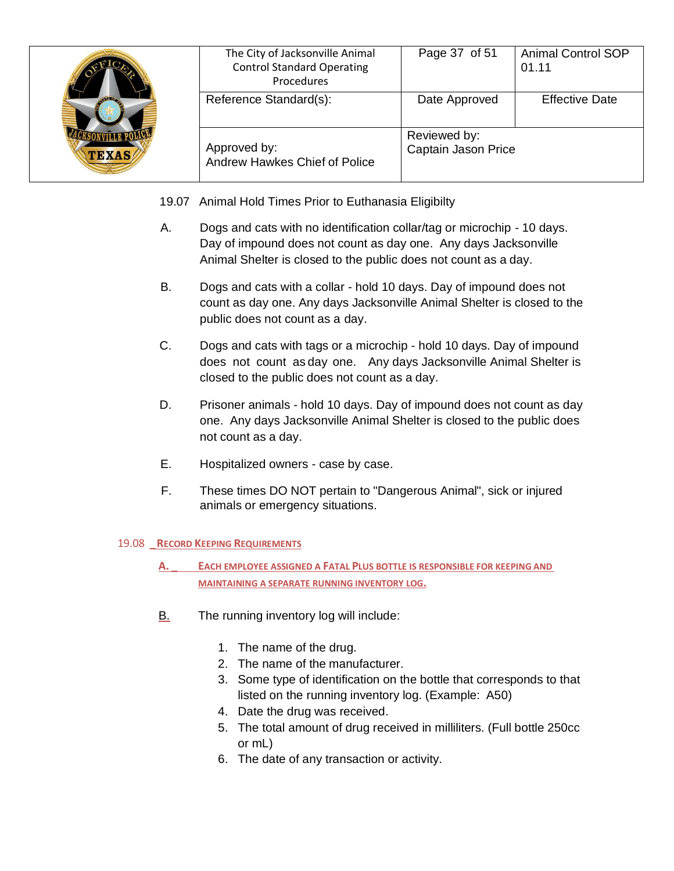| $\sqrt{100}$<br><b>TEXAS</b> | The City of Jacksonville Animal<br><b>Control Standard Operating</b><br>Procedures | Page 37 of 51                       | <b>Animal Control SOP</b><br>01.11 |
|------------------------------|------------------------------------------------------------------------------------|-------------------------------------|------------------------------------|
|                              | Reference Standard(s):                                                             | Date Approved                       | <b>Effective Date</b>              |
|                              | Approved by:<br>Andrew Hawkes Chief of Police                                      | Reviewed by:<br>Captain Jason Price |                                    |

- 19.07 Animal Hold Times Prior to Euthanasia Eligibilty
- A. Dogs and cats with no identification collar/tag or microchip 10 days. Day of impound does not count as day one. Any days Jacksonville Animal Shelter is closed to the public does not count as a day.
- B. Dogs and cats with a collar hold 10 days. Day of impound does not count as day one. Any days Jacksonville Animal Shelter is closed to the public does not count as a day.
- C. Dogs and cats with tags or a microchip hold 10 days. Day of impound does not count as day one. Any days Jacksonville Animal Shelter is closed to the public does not count as a day.
- D. Prisoner animals hold 10 days. Day of impound does not count as day one. Any days Jacksonville Animal Shelter is closed to the public does not count as a day.
- E. Hospitalized owners case by case.
- F. These times DO NOT pertain to "Dangerous Animal", sick or injured animals or emergency situations.

### 19.08 **\_RECORD KEEPING REQUIREMENTS**

- **A. \_ EACH EMPLOYEE ASSIGNED A FATAL PLUS BOTTLE IS RESPONSIBLE FOR KEEPING AND MAINTAINING A SEPARATE RUNNING INVENTORY LOG.**
- B. The running inventory log will include:
	- 1. The name of the drug.
	- 2. The name of the manufacturer.
	- 3. Some type of identification on the bottle that corresponds to that listed on the running inventory log. (Example: A50)
	- 4. Date the drug was received.
	- 5. The total amount of drug received in milliliters. (Full bottle 250cc or mL)
	- 6. The date of any transaction or activity.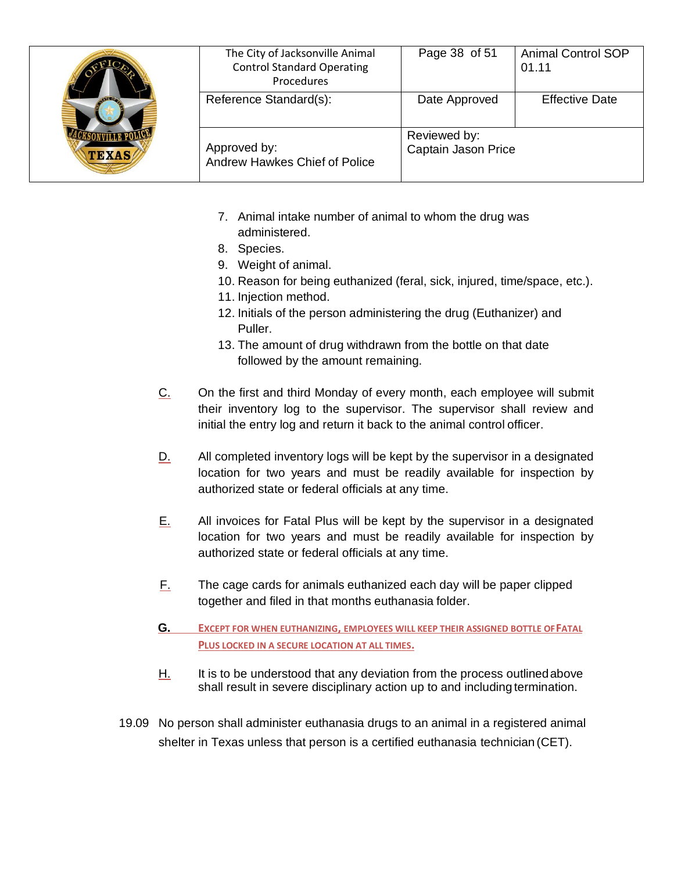| <b>TEXAS</b> | The City of Jacksonville Animal<br><b>Control Standard Operating</b><br>Procedures | Page 38 of 51                       | <b>Animal Control SOP</b><br>01.11 |
|--------------|------------------------------------------------------------------------------------|-------------------------------------|------------------------------------|
|              | Reference Standard(s):                                                             | Date Approved                       | <b>Effective Date</b>              |
|              | Approved by:<br>Andrew Hawkes Chief of Police                                      | Reviewed by:<br>Captain Jason Price |                                    |

- 7. Animal intake number of animal to whom the drug was administered.
- 8. Species.
- 9. Weight of animal.
- 10. Reason for being euthanized (feral, sick, injured, time/space, etc.).
- 11. Injection method.
- 12. Initials of the person administering the drug (Euthanizer) and Puller.
- 13. The amount of drug withdrawn from the bottle on that date followed by the amount remaining.
- C. On the first and third Monday of every month, each employee will submit their inventory log to the supervisor. The supervisor shall review and initial the entry log and return it back to the animal control officer.
- D. All completed inventory logs will be kept by the supervisor in a designated location for two years and must be readily available for inspection by authorized state or federal officials at any time.
- E. All invoices for Fatal Plus will be kept by the supervisor in a designated location for two years and must be readily available for inspection by authorized state or federal officials at any time.
- F. The cage cards for animals euthanized each day will be paper clipped together and filed in that months euthanasia folder.
- **G. EXCEPT FOR WHEN EUTHANIZING, EMPLOYEES WILL KEEP THEIR ASSIGNED BOTTLE OFFATAL PLUS LOCKED IN A SECURE LOCATION AT ALL TIMES.**
- H. It is to be understood that any deviation from the process outlinedabove shall result in severe disciplinary action up to and including termination.
- 19.09 No person shall administer euthanasia drugs to an animal in a registered animal shelter in Texas unless that person is a certified euthanasia technician (CET).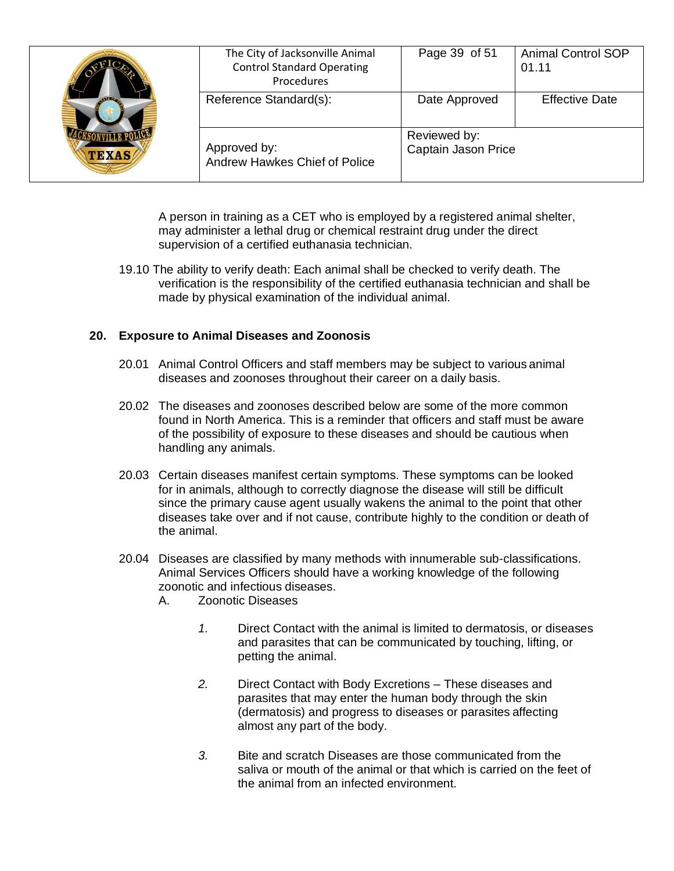| <b>TEXAS</b> | The City of Jacksonville Animal<br><b>Control Standard Operating</b><br>Procedures | Page 39 of 51                       | <b>Animal Control SOP</b><br>01.11 |
|--------------|------------------------------------------------------------------------------------|-------------------------------------|------------------------------------|
|              | Reference Standard(s):                                                             | Date Approved                       | <b>Effective Date</b>              |
|              | Approved by:<br>Andrew Hawkes Chief of Police                                      | Reviewed by:<br>Captain Jason Price |                                    |

A person in training as a CET who is employed by a registered animal shelter, may administer a lethal drug or chemical restraint drug under the direct supervision of a certified euthanasia technician.

19.10 The ability to verify death: Each animal shall be checked to verify death. The verification is the responsibility of the certified euthanasia technician and shall be made by physical examination of the individual animal.

### **20. Exposure to Animal Diseases and Zoonosis**

- 20.01 Animal Control Officers and staff members may be subject to various animal diseases and zoonoses throughout their career on a daily basis.
- 20.02 The diseases and zoonoses described below are some of the more common found in North America. This is a reminder that officers and staff must be aware of the possibility of exposure to these diseases and should be cautious when handling any animals.
- 20.03 Certain diseases manifest certain symptoms. These symptoms can be looked for in animals, although to correctly diagnose the disease will still be difficult since the primary cause agent usually wakens the animal to the point that other diseases take over and if not cause, contribute highly to the condition or death of the animal.
- 20.04 Diseases are classified by many methods with innumerable sub-classifications. Animal Services Officers should have a working knowledge of the following zoonotic and infectious diseases.
	- A. Zoonotic Diseases
		- *1.* Direct Contact with the animal is limited to dermatosis, or diseases and parasites that can be communicated by touching, lifting, or petting the animal.
		- *2.* Direct Contact with Body Excretions These diseases and parasites that may enter the human body through the skin (dermatosis) and progress to diseases or parasites affecting almost any part of the body.
		- *3.* Bite and scratch Diseases are those communicated from the saliva or mouth of the animal or that which is carried on the feet of the animal from an infected environment.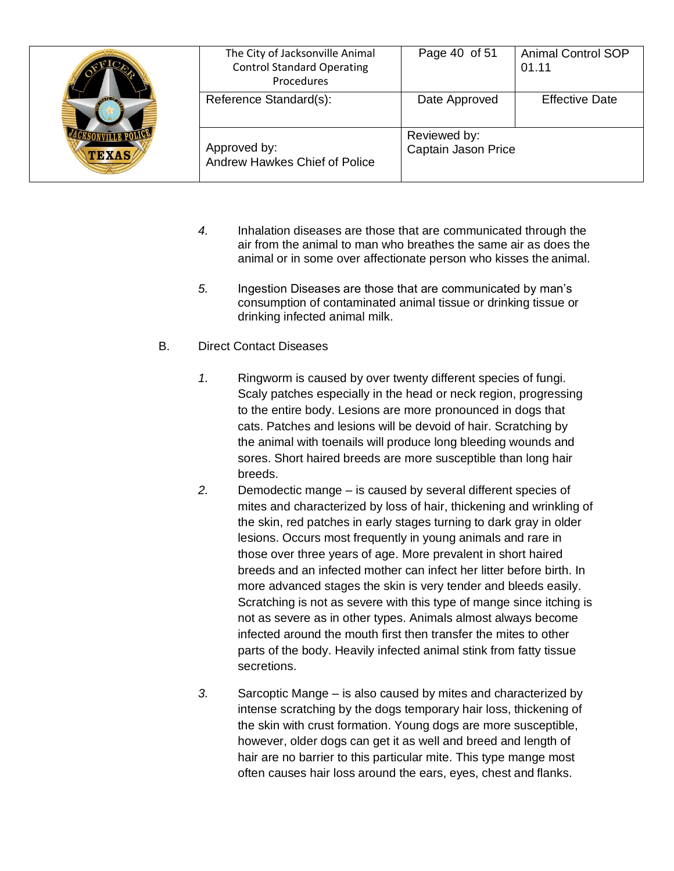| $-1120$<br><b>TEXAS</b> | The City of Jacksonville Animal<br><b>Control Standard Operating</b><br>Procedures | Page 40 of 51                       | <b>Animal Control SOP</b><br>01.11 |
|-------------------------|------------------------------------------------------------------------------------|-------------------------------------|------------------------------------|
|                         | Reference Standard(s):                                                             | Date Approved                       | <b>Effective Date</b>              |
|                         | Approved by:<br>Andrew Hawkes Chief of Police                                      | Reviewed by:<br>Captain Jason Price |                                    |

- *4.* Inhalation diseases are those that are communicated through the air from the animal to man who breathes the same air as does the animal or in some over affectionate person who kisses the animal.
- *5.* Ingestion Diseases are those that are communicated by man's consumption of contaminated animal tissue or drinking tissue or drinking infected animal milk.
- B. Direct Contact Diseases
	- *1.* Ringworm is caused by over twenty different species of fungi. Scaly patches especially in the head or neck region, progressing to the entire body. Lesions are more pronounced in dogs that cats. Patches and lesions will be devoid of hair. Scratching by the animal with toenails will produce long bleeding wounds and sores. Short haired breeds are more susceptible than long hair breeds.
	- *2.* Demodectic mange is caused by several different species of mites and characterized by loss of hair, thickening and wrinkling of the skin, red patches in early stages turning to dark gray in older lesions. Occurs most frequently in young animals and rare in those over three years of age. More prevalent in short haired breeds and an infected mother can infect her litter before birth. In more advanced stages the skin is very tender and bleeds easily. Scratching is not as severe with this type of mange since itching is not as severe as in other types. Animals almost always become infected around the mouth first then transfer the mites to other parts of the body. Heavily infected animal stink from fatty tissue secretions.
	- *3.* Sarcoptic Mange is also caused by mites and characterized by intense scratching by the dogs temporary hair loss, thickening of the skin with crust formation. Young dogs are more susceptible, however, older dogs can get it as well and breed and length of hair are no barrier to this particular mite. This type mange most often causes hair loss around the ears, eyes, chest and flanks.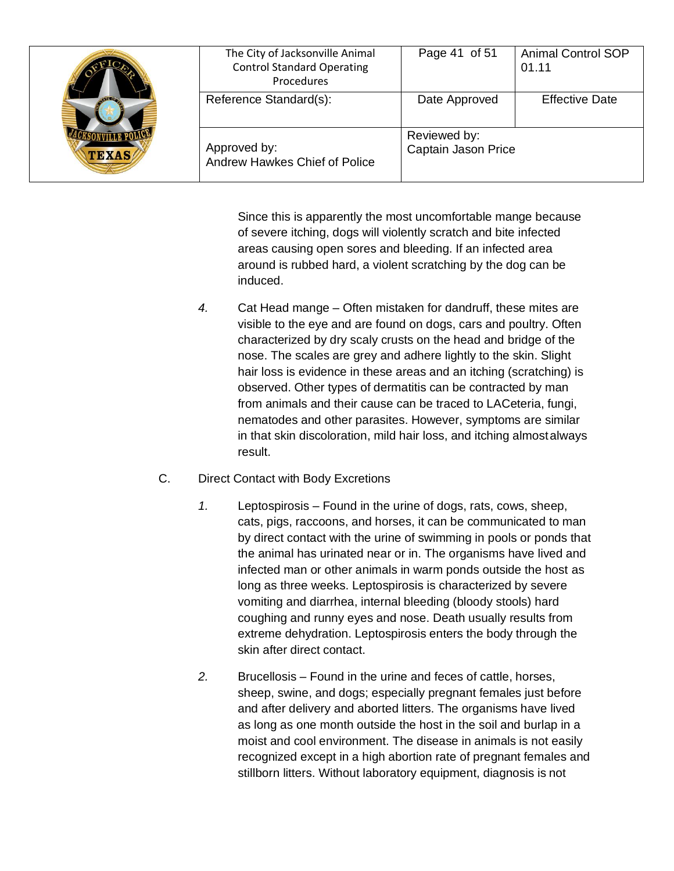| <b>TEXAS</b> | The City of Jacksonville Animal<br><b>Control Standard Operating</b><br>Procedures | Page 41 of 51                       | <b>Animal Control SOP</b><br>01.11 |
|--------------|------------------------------------------------------------------------------------|-------------------------------------|------------------------------------|
|              | Reference Standard(s):                                                             | Date Approved                       | <b>Effective Date</b>              |
|              | Approved by:<br>Andrew Hawkes Chief of Police                                      | Reviewed by:<br>Captain Jason Price |                                    |

Since this is apparently the most uncomfortable mange because of severe itching, dogs will violently scratch and bite infected areas causing open sores and bleeding. If an infected area around is rubbed hard, a violent scratching by the dog can be induced.

- *4.* Cat Head mange Often mistaken for dandruff, these mites are visible to the eye and are found on dogs, cars and poultry. Often characterized by dry scaly crusts on the head and bridge of the nose. The scales are grey and adhere lightly to the skin. Slight hair loss is evidence in these areas and an itching (scratching) is observed. Other types of dermatitis can be contracted by man from animals and their cause can be traced to LACeteria, fungi, nematodes and other parasites. However, symptoms are similar in that skin discoloration, mild hair loss, and itching almostalways result.
- C. Direct Contact with Body Excretions
	- *1.* Leptospirosis Found in the urine of dogs, rats, cows, sheep, cats, pigs, raccoons, and horses, it can be communicated to man by direct contact with the urine of swimming in pools or ponds that the animal has urinated near or in. The organisms have lived and infected man or other animals in warm ponds outside the host as long as three weeks. Leptospirosis is characterized by severe vomiting and diarrhea, internal bleeding (bloody stools) hard coughing and runny eyes and nose. Death usually results from extreme dehydration. Leptospirosis enters the body through the skin after direct contact.
	- *2.* Brucellosis Found in the urine and feces of cattle, horses, sheep, swine, and dogs; especially pregnant females just before and after delivery and aborted litters. The organisms have lived as long as one month outside the host in the soil and burlap in a moist and cool environment. The disease in animals is not easily recognized except in a high abortion rate of pregnant females and stillborn litters. Without laboratory equipment, diagnosis is not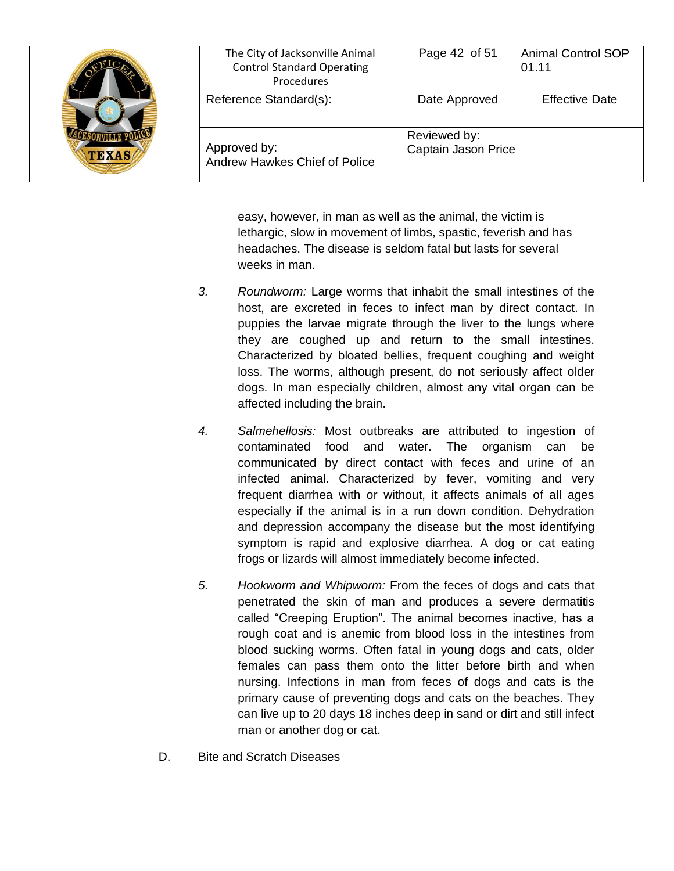| <b>TEXAS</b> | The City of Jacksonville Animal<br><b>Control Standard Operating</b><br>Procedures | Page 42 of 51                       | <b>Animal Control SOP</b><br>01.11 |
|--------------|------------------------------------------------------------------------------------|-------------------------------------|------------------------------------|
|              | Reference Standard(s):                                                             | Date Approved                       | <b>Effective Date</b>              |
|              | Approved by:<br>Andrew Hawkes Chief of Police                                      | Reviewed by:<br>Captain Jason Price |                                    |

easy, however, in man as well as the animal, the victim is lethargic, slow in movement of limbs, spastic, feverish and has headaches. The disease is seldom fatal but lasts for several weeks in man.

- *3. Roundworm:* Large worms that inhabit the small intestines of the host, are excreted in feces to infect man by direct contact. In puppies the larvae migrate through the liver to the lungs where they are coughed up and return to the small intestines. Characterized by bloated bellies, frequent coughing and weight loss. The worms, although present, do not seriously affect older dogs. In man especially children, almost any vital organ can be affected including the brain.
- *4. Salmehellosis:* Most outbreaks are attributed to ingestion of contaminated food and water. The organism can be communicated by direct contact with feces and urine of an infected animal. Characterized by fever, vomiting and very frequent diarrhea with or without, it affects animals of all ages especially if the animal is in a run down condition. Dehydration and depression accompany the disease but the most identifying symptom is rapid and explosive diarrhea. A dog or cat eating frogs or lizards will almost immediately become infected.
- *5. Hookworm and Whipworm:* From the feces of dogs and cats that penetrated the skin of man and produces a severe dermatitis called "Creeping Eruption". The animal becomes inactive, has a rough coat and is anemic from blood loss in the intestines from blood sucking worms. Often fatal in young dogs and cats, older females can pass them onto the litter before birth and when nursing. Infections in man from feces of dogs and cats is the primary cause of preventing dogs and cats on the beaches. They can live up to 20 days 18 inches deep in sand or dirt and still infect man or another dog or cat.
- D. Bite and Scratch Diseases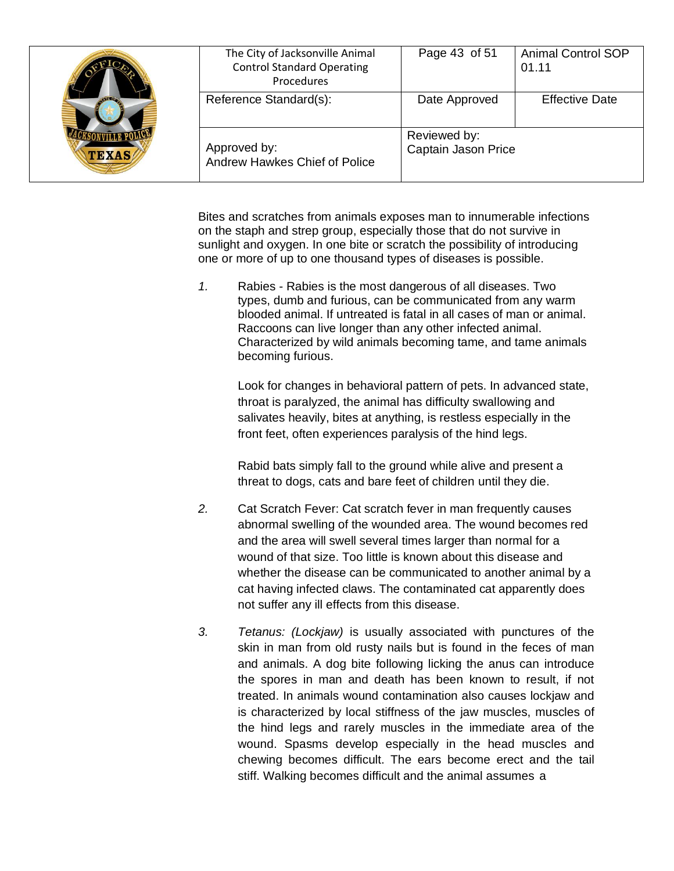| <b>TEXAS</b> | The City of Jacksonville Animal<br><b>Control Standard Operating</b><br>Procedures | Page 43 of 51                       | <b>Animal Control SOP</b><br>01.11 |
|--------------|------------------------------------------------------------------------------------|-------------------------------------|------------------------------------|
|              | Reference Standard(s):                                                             | Date Approved                       | <b>Effective Date</b>              |
|              | Approved by:<br>Andrew Hawkes Chief of Police                                      | Reviewed by:<br>Captain Jason Price |                                    |

Bites and scratches from animals exposes man to innumerable infections on the staph and strep group, especially those that do not survive in sunlight and oxygen. In one bite or scratch the possibility of introducing one or more of up to one thousand types of diseases is possible.

*1.* Rabies - Rabies is the most dangerous of all diseases. Two types, dumb and furious, can be communicated from any warm blooded animal. If untreated is fatal in all cases of man or animal. Raccoons can live longer than any other infected animal. Characterized by wild animals becoming tame, and tame animals becoming furious.

Look for changes in behavioral pattern of pets. In advanced state, throat is paralyzed, the animal has difficulty swallowing and salivates heavily, bites at anything, is restless especially in the front feet, often experiences paralysis of the hind legs.

Rabid bats simply fall to the ground while alive and present a threat to dogs, cats and bare feet of children until they die.

- *2.* Cat Scratch Fever: Cat scratch fever in man frequently causes abnormal swelling of the wounded area. The wound becomes red and the area will swell several times larger than normal for a wound of that size. Too little is known about this disease and whether the disease can be communicated to another animal by a cat having infected claws. The contaminated cat apparently does not suffer any ill effects from this disease.
- *3. Tetanus: (Lockjaw)* is usually associated with punctures of the skin in man from old rusty nails but is found in the feces of man and animals. A dog bite following licking the anus can introduce the spores in man and death has been known to result, if not treated. In animals wound contamination also causes lockjaw and is characterized by local stiffness of the jaw muscles, muscles of the hind legs and rarely muscles in the immediate area of the wound. Spasms develop especially in the head muscles and chewing becomes difficult. The ears become erect and the tail stiff. Walking becomes difficult and the animal assumes a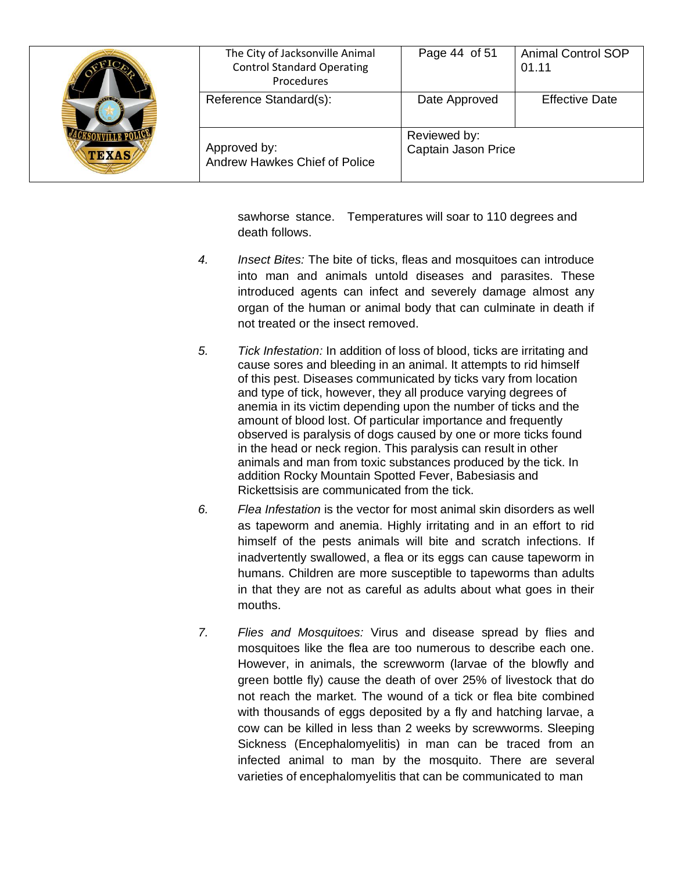| $\sqrt{100}$<br><b>TEXAS</b> | The City of Jacksonville Animal<br><b>Control Standard Operating</b><br>Procedures | Page 44 of 51                       | <b>Animal Control SOP</b><br>01.11 |
|------------------------------|------------------------------------------------------------------------------------|-------------------------------------|------------------------------------|
|                              | Reference Standard(s):                                                             | Date Approved                       | <b>Effective Date</b>              |
|                              | Approved by:<br>Andrew Hawkes Chief of Police                                      | Reviewed by:<br>Captain Jason Price |                                    |

sawhorse stance. Temperatures will soar to 110 degrees and death follows.

- *4. Insect Bites:* The bite of ticks, fleas and mosquitoes can introduce into man and animals untold diseases and parasites. These introduced agents can infect and severely damage almost any organ of the human or animal body that can culminate in death if not treated or the insect removed.
- *5. Tick Infestation:* In addition of loss of blood, ticks are irritating and cause sores and bleeding in an animal. It attempts to rid himself of this pest. Diseases communicated by ticks vary from location and type of tick, however, they all produce varying degrees of anemia in its victim depending upon the number of ticks and the amount of blood lost. Of particular importance and frequently observed is paralysis of dogs caused by one or more ticks found in the head or neck region. This paralysis can result in other animals and man from toxic substances produced by the tick. In addition Rocky Mountain Spotted Fever, Babesiasis and Rickettsisis are communicated from the tick.
- *6. Flea Infestation* is the vector for most animal skin disorders as well as tapeworm and anemia. Highly irritating and in an effort to rid himself of the pests animals will bite and scratch infections. If inadvertently swallowed, a flea or its eggs can cause tapeworm in humans. Children are more susceptible to tapeworms than adults in that they are not as careful as adults about what goes in their mouths.
- *7. Flies and Mosquitoes:* Virus and disease spread by flies and mosquitoes like the flea are too numerous to describe each one. However, in animals, the screwworm (larvae of the blowfly and green bottle fly) cause the death of over 25% of livestock that do not reach the market. The wound of a tick or flea bite combined with thousands of eggs deposited by a fly and hatching larvae, a cow can be killed in less than 2 weeks by screwworms. Sleeping Sickness (Encephalomyelitis) in man can be traced from an infected animal to man by the mosquito. There are several varieties of encephalomyelitis that can be communicated to man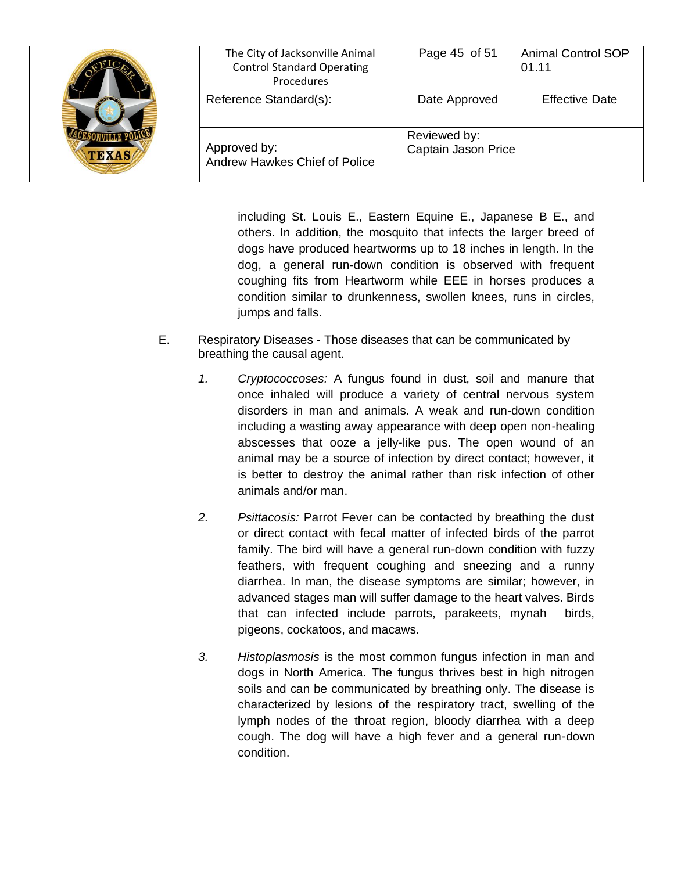| <b>AVIEW</b><br><b>TEXAS</b> | The City of Jacksonville Animal<br><b>Control Standard Operating</b><br>Procedures | Page 45 of 51                       | <b>Animal Control SOP</b><br>01.11 |
|------------------------------|------------------------------------------------------------------------------------|-------------------------------------|------------------------------------|
|                              | Reference Standard(s):                                                             | Date Approved                       | <b>Effective Date</b>              |
|                              | Approved by:<br>Andrew Hawkes Chief of Police                                      | Reviewed by:<br>Captain Jason Price |                                    |

including St. Louis E., Eastern Equine E., Japanese B E., and others. In addition, the mosquito that infects the larger breed of dogs have produced heartworms up to 18 inches in length. In the dog, a general run-down condition is observed with frequent coughing fits from Heartworm while EEE in horses produces a condition similar to drunkenness, swollen knees, runs in circles, jumps and falls.

- E. Respiratory Diseases Those diseases that can be communicated by breathing the causal agent.
	- *1. Cryptococcoses:* A fungus found in dust, soil and manure that once inhaled will produce a variety of central nervous system disorders in man and animals. A weak and run-down condition including a wasting away appearance with deep open non-healing abscesses that ooze a jelly-like pus. The open wound of an animal may be a source of infection by direct contact; however, it is better to destroy the animal rather than risk infection of other animals and/or man.
	- *2. Psittacosis:* Parrot Fever can be contacted by breathing the dust or direct contact with fecal matter of infected birds of the parrot family. The bird will have a general run-down condition with fuzzy feathers, with frequent coughing and sneezing and a runny diarrhea. In man, the disease symptoms are similar; however, in advanced stages man will suffer damage to the heart valves. Birds that can infected include parrots, parakeets, mynah birds, pigeons, cockatoos, and macaws.
	- *3. Histoplasmosis* is the most common fungus infection in man and dogs in North America. The fungus thrives best in high nitrogen soils and can be communicated by breathing only. The disease is characterized by lesions of the respiratory tract, swelling of the lymph nodes of the throat region, bloody diarrhea with a deep cough. The dog will have a high fever and a general run-down condition.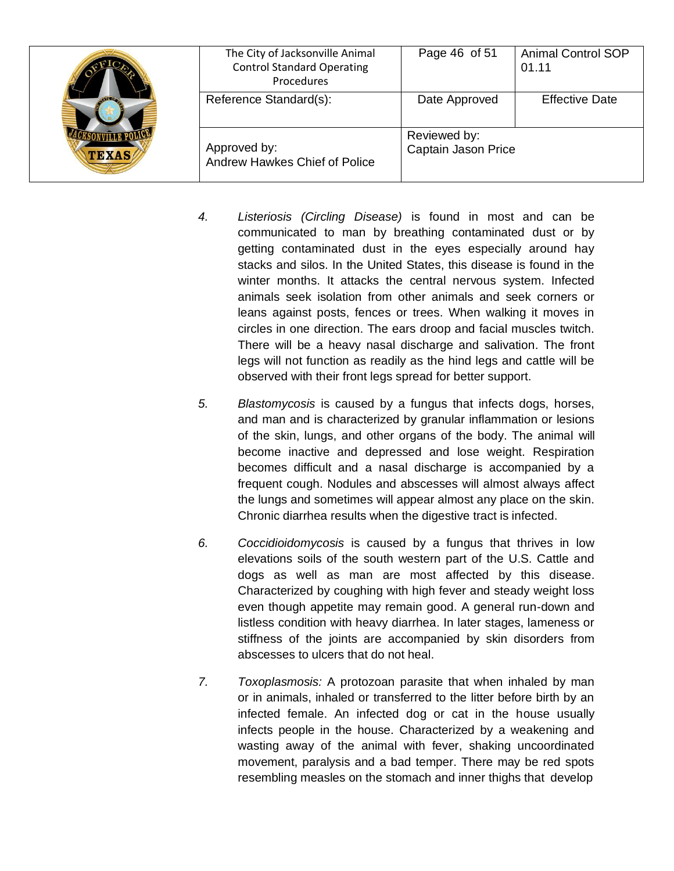| $\sim$<br><b>TEXAS</b> | The City of Jacksonville Animal<br><b>Control Standard Operating</b><br>Procedures | Page 46 of 51                       | <b>Animal Control SOP</b><br>01.11 |
|------------------------|------------------------------------------------------------------------------------|-------------------------------------|------------------------------------|
|                        | Reference Standard(s):                                                             | Date Approved                       | <b>Effective Date</b>              |
|                        | Approved by:<br>Andrew Hawkes Chief of Police                                      | Reviewed by:<br>Captain Jason Price |                                    |

- *4. Listeriosis (Circling Disease)* is found in most and can be communicated to man by breathing contaminated dust or by getting contaminated dust in the eyes especially around hay stacks and silos. In the United States, this disease is found in the winter months. It attacks the central nervous system. Infected animals seek isolation from other animals and seek corners or leans against posts, fences or trees. When walking it moves in circles in one direction. The ears droop and facial muscles twitch. There will be a heavy nasal discharge and salivation. The front legs will not function as readily as the hind legs and cattle will be observed with their front legs spread for better support.
- *5. Blastomycosis* is caused by a fungus that infects dogs, horses, and man and is characterized by granular inflammation or lesions of the skin, lungs, and other organs of the body. The animal will become inactive and depressed and lose weight. Respiration becomes difficult and a nasal discharge is accompanied by a frequent cough. Nodules and abscesses will almost always affect the lungs and sometimes will appear almost any place on the skin. Chronic diarrhea results when the digestive tract is infected.
- *6. Coccidioidomycosis* is caused by a fungus that thrives in low elevations soils of the south western part of the U.S. Cattle and dogs as well as man are most affected by this disease. Characterized by coughing with high fever and steady weight loss even though appetite may remain good. A general run-down and listless condition with heavy diarrhea. In later stages, lameness or stiffness of the joints are accompanied by skin disorders from abscesses to ulcers that do not heal.
- *7. Toxoplasmosis:* A protozoan parasite that when inhaled by man or in animals, inhaled or transferred to the litter before birth by an infected female. An infected dog or cat in the house usually infects people in the house. Characterized by a weakening and wasting away of the animal with fever, shaking uncoordinated movement, paralysis and a bad temper. There may be red spots resembling measles on the stomach and inner thighs that develop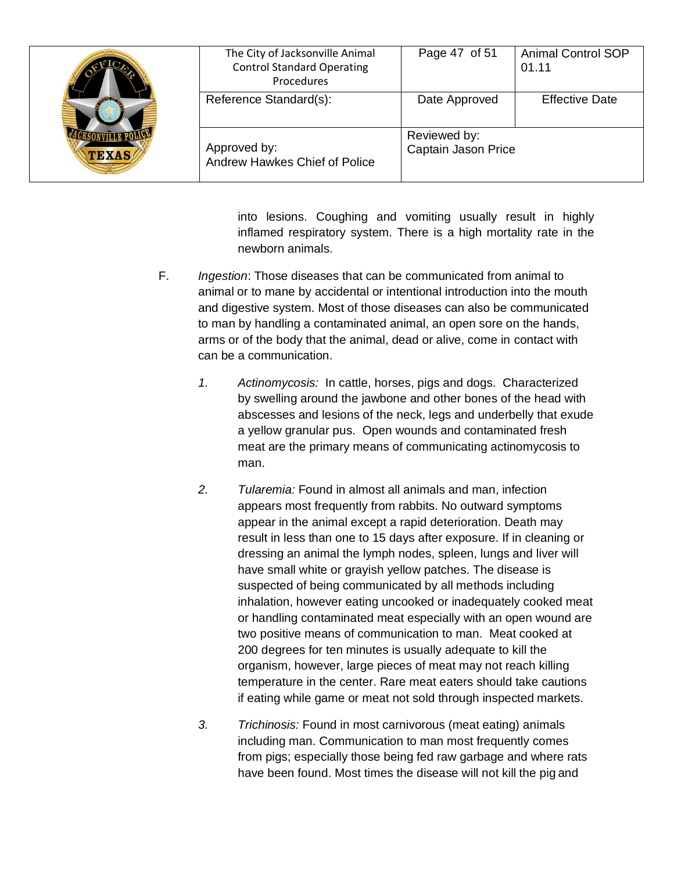| <b>TEXAS</b> | The City of Jacksonville Animal<br><b>Control Standard Operating</b><br>Procedures | Page 47 of 51                       | <b>Animal Control SOP</b><br>01.11 |
|--------------|------------------------------------------------------------------------------------|-------------------------------------|------------------------------------|
|              | Reference Standard(s):                                                             | Date Approved                       | <b>Effective Date</b>              |
|              | Approved by:<br>Andrew Hawkes Chief of Police                                      | Reviewed by:<br>Captain Jason Price |                                    |

into lesions. Coughing and vomiting usually result in highly inflamed respiratory system. There is a high mortality rate in the newborn animals.

- F. *Ingestion*: Those diseases that can be communicated from animal to animal or to mane by accidental or intentional introduction into the mouth and digestive system. Most of those diseases can also be communicated to man by handling a contaminated animal, an open sore on the hands, arms or of the body that the animal, dead or alive, come in contact with can be a communication.
	- *1. Actinomycosis:* In cattle, horses, pigs and dogs. Characterized by swelling around the jawbone and other bones of the head with abscesses and lesions of the neck, legs and underbelly that exude a yellow granular pus. Open wounds and contaminated fresh meat are the primary means of communicating actinomycosis to man.
	- *2. Tularemia:* Found in almost all animals and man, infection appears most frequently from rabbits. No outward symptoms appear in the animal except a rapid deterioration. Death may result in less than one to 15 days after exposure. If in cleaning or dressing an animal the lymph nodes, spleen, lungs and liver will have small white or grayish yellow patches. The disease is suspected of being communicated by all methods including inhalation, however eating uncooked or inadequately cooked meat or handling contaminated meat especially with an open wound are two positive means of communication to man. Meat cooked at 200 degrees for ten minutes is usually adequate to kill the organism, however, large pieces of meat may not reach killing temperature in the center. Rare meat eaters should take cautions if eating while game or meat not sold through inspected markets.
	- *3. Trichinosis:* Found in most carnivorous (meat eating) animals including man. Communication to man most frequently comes from pigs; especially those being fed raw garbage and where rats have been found. Most times the disease will not kill the pig and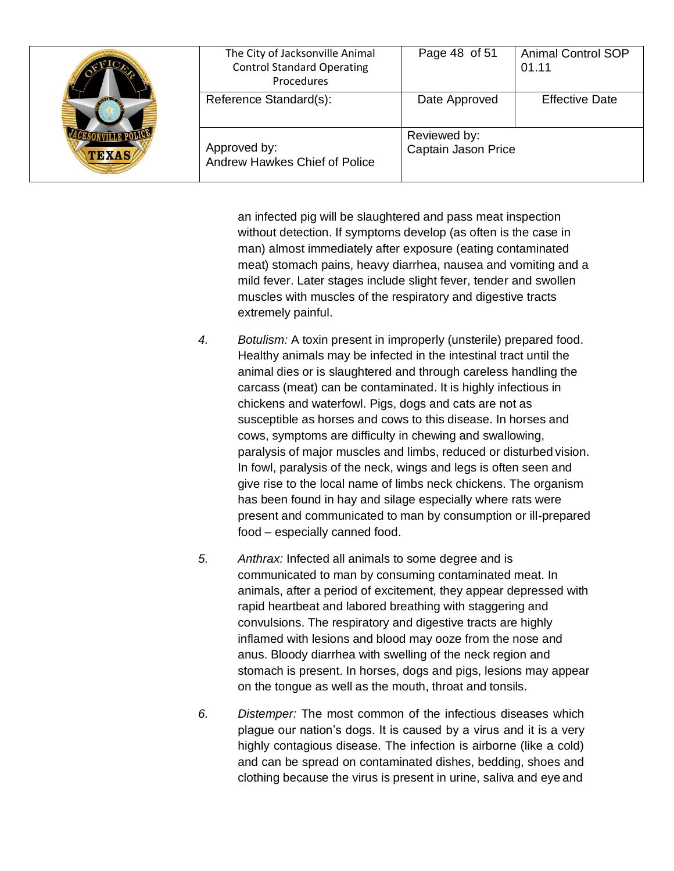| $\sqrt{150}$<br><b>TEXAS</b> | The City of Jacksonville Animal<br><b>Control Standard Operating</b><br>Procedures | Page 48 of 51                       | <b>Animal Control SOP</b><br>01.11 |
|------------------------------|------------------------------------------------------------------------------------|-------------------------------------|------------------------------------|
|                              | Reference Standard(s):                                                             | Date Approved                       | <b>Effective Date</b>              |
|                              | Approved by:<br>Andrew Hawkes Chief of Police                                      | Reviewed by:<br>Captain Jason Price |                                    |

an infected pig will be slaughtered and pass meat inspection without detection. If symptoms develop (as often is the case in man) almost immediately after exposure (eating contaminated meat) stomach pains, heavy diarrhea, nausea and vomiting and a mild fever. Later stages include slight fever, tender and swollen muscles with muscles of the respiratory and digestive tracts extremely painful.

- *4. Botulism:* A toxin present in improperly (unsterile) prepared food. Healthy animals may be infected in the intestinal tract until the animal dies or is slaughtered and through careless handling the carcass (meat) can be contaminated. It is highly infectious in chickens and waterfowl. Pigs, dogs and cats are not as susceptible as horses and cows to this disease. In horses and cows, symptoms are difficulty in chewing and swallowing, paralysis of major muscles and limbs, reduced or disturbed vision. In fowl, paralysis of the neck, wings and legs is often seen and give rise to the local name of limbs neck chickens. The organism has been found in hay and silage especially where rats were present and communicated to man by consumption or ill-prepared food – especially canned food.
- *5. Anthrax:* Infected all animals to some degree and is communicated to man by consuming contaminated meat. In animals, after a period of excitement, they appear depressed with rapid heartbeat and labored breathing with staggering and convulsions. The respiratory and digestive tracts are highly inflamed with lesions and blood may ooze from the nose and anus. Bloody diarrhea with swelling of the neck region and stomach is present. In horses, dogs and pigs, lesions may appear on the tongue as well as the mouth, throat and tonsils.
- *6. Distemper:* The most common of the infectious diseases which plague our nation's dogs. It is caused by a virus and it is a very highly contagious disease. The infection is airborne (like a cold) and can be spread on contaminated dishes, bedding, shoes and clothing because the virus is present in urine, saliva and eye and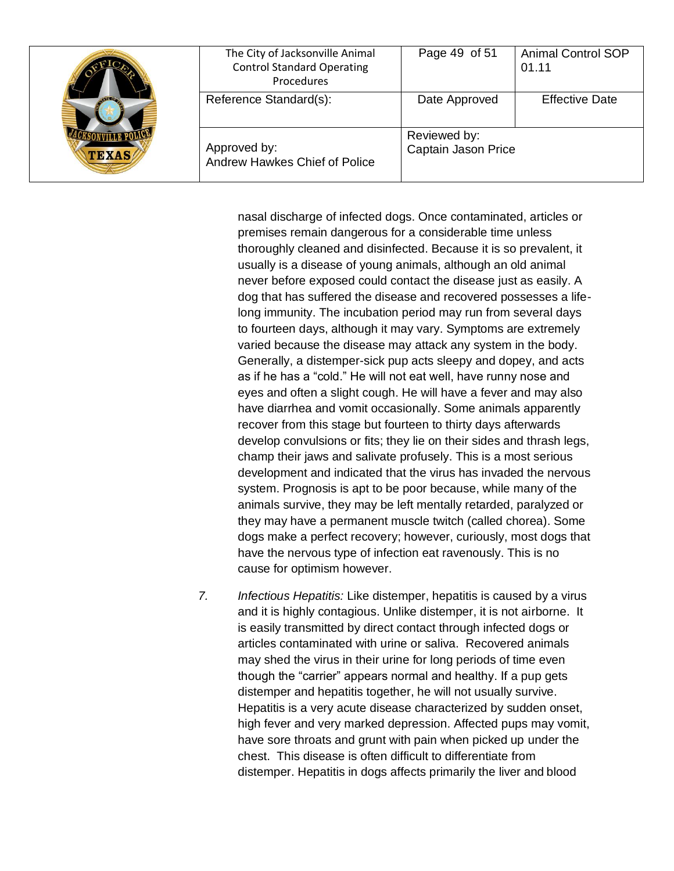| <b>TEXAS</b> | The City of Jacksonville Animal<br><b>Control Standard Operating</b><br>Procedures | Page 49 of 51                       | <b>Animal Control SOP</b><br>01.11 |
|--------------|------------------------------------------------------------------------------------|-------------------------------------|------------------------------------|
|              | Reference Standard(s):                                                             | Date Approved                       | <b>Effective Date</b>              |
|              | Approved by:<br>Andrew Hawkes Chief of Police                                      | Reviewed by:<br>Captain Jason Price |                                    |

nasal discharge of infected dogs. Once contaminated, articles or premises remain dangerous for a considerable time unless thoroughly cleaned and disinfected. Because it is so prevalent, it usually is a disease of young animals, although an old animal never before exposed could contact the disease just as easily. A dog that has suffered the disease and recovered possesses a lifelong immunity. The incubation period may run from several days to fourteen days, although it may vary. Symptoms are extremely varied because the disease may attack any system in the body. Generally, a distemper-sick pup acts sleepy and dopey, and acts as if he has a "cold." He will not eat well, have runny nose and eyes and often a slight cough. He will have a fever and may also have diarrhea and vomit occasionally. Some animals apparently recover from this stage but fourteen to thirty days afterwards develop convulsions or fits; they lie on their sides and thrash legs, champ their jaws and salivate profusely. This is a most serious development and indicated that the virus has invaded the nervous system. Prognosis is apt to be poor because, while many of the animals survive, they may be left mentally retarded, paralyzed or they may have a permanent muscle twitch (called chorea). Some dogs make a perfect recovery; however, curiously, most dogs that have the nervous type of infection eat ravenously. This is no cause for optimism however.

*7. Infectious Hepatitis:* Like distemper, hepatitis is caused by a virus and it is highly contagious. Unlike distemper, it is not airborne. It is easily transmitted by direct contact through infected dogs or articles contaminated with urine or saliva. Recovered animals may shed the virus in their urine for long periods of time even though the "carrier" appears normal and healthy. If a pup gets distemper and hepatitis together, he will not usually survive. Hepatitis is a very acute disease characterized by sudden onset, high fever and very marked depression. Affected pups may vomit, have sore throats and grunt with pain when picked up under the chest. This disease is often difficult to differentiate from distemper. Hepatitis in dogs affects primarily the liver and blood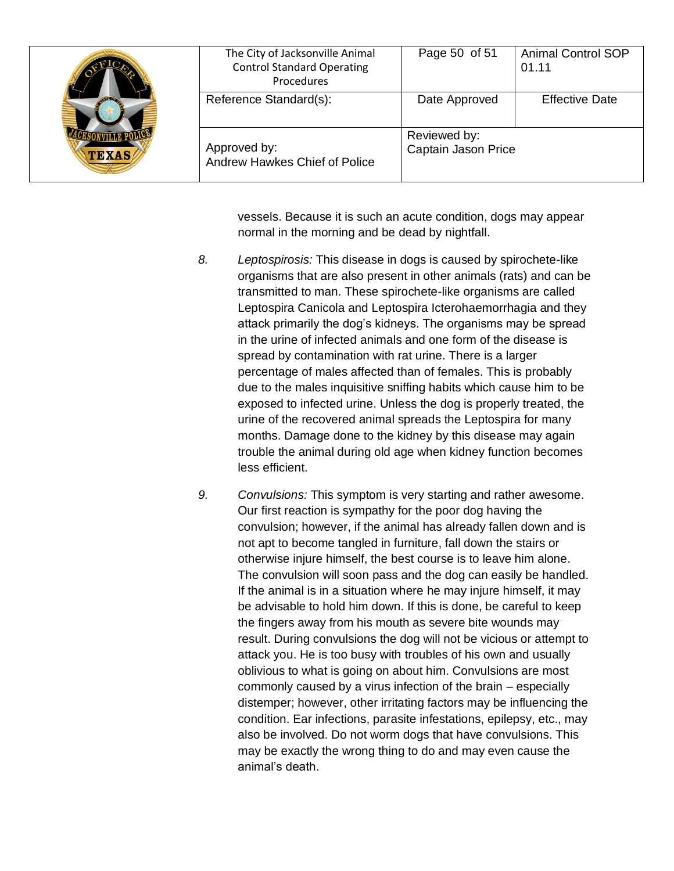| $\sqrt{120}$<br><b>TEXAS</b> | The City of Jacksonville Animal<br><b>Control Standard Operating</b><br>Procedures | Page 50 of 51                       | <b>Animal Control SOP</b><br>01.11 |
|------------------------------|------------------------------------------------------------------------------------|-------------------------------------|------------------------------------|
|                              | Reference Standard(s):                                                             | Date Approved                       | <b>Effective Date</b>              |
|                              | Approved by:<br>Andrew Hawkes Chief of Police                                      | Reviewed by:<br>Captain Jason Price |                                    |

vessels. Because it is such an acute condition, dogs may appear normal in the morning and be dead by nightfall.

- *8. Leptospirosis:* This disease in dogs is caused by spirochete-like organisms that are also present in other animals (rats) and can be transmitted to man. These spirochete-like organisms are called Leptospira Canicola and Leptospira Icterohaemorrhagia and they attack primarily the dog's kidneys. The organisms may be spread in the urine of infected animals and one form of the disease is spread by contamination with rat urine. There is a larger percentage of males affected than of females. This is probably due to the males inquisitive sniffing habits which cause him to be exposed to infected urine. Unless the dog is properly treated, the urine of the recovered animal spreads the Leptospira for many months. Damage done to the kidney by this disease may again trouble the animal during old age when kidney function becomes less efficient.
- *9. Convulsions:* This symptom is very starting and rather awesome. Our first reaction is sympathy for the poor dog having the convulsion; however, if the animal has already fallen down and is not apt to become tangled in furniture, fall down the stairs or otherwise injure himself, the best course is to leave him alone. The convulsion will soon pass and the dog can easily be handled. If the animal is in a situation where he may injure himself, it may be advisable to hold him down. If this is done, be careful to keep the fingers away from his mouth as severe bite wounds may result. During convulsions the dog will not be vicious or attempt to attack you. He is too busy with troubles of his own and usually oblivious to what is going on about him. Convulsions are most commonly caused by a virus infection of the brain – especially distemper; however, other irritating factors may be influencing the condition. Ear infections, parasite infestations, epilepsy, etc., may also be involved. Do not worm dogs that have convulsions. This may be exactly the wrong thing to do and may even cause the animal's death.